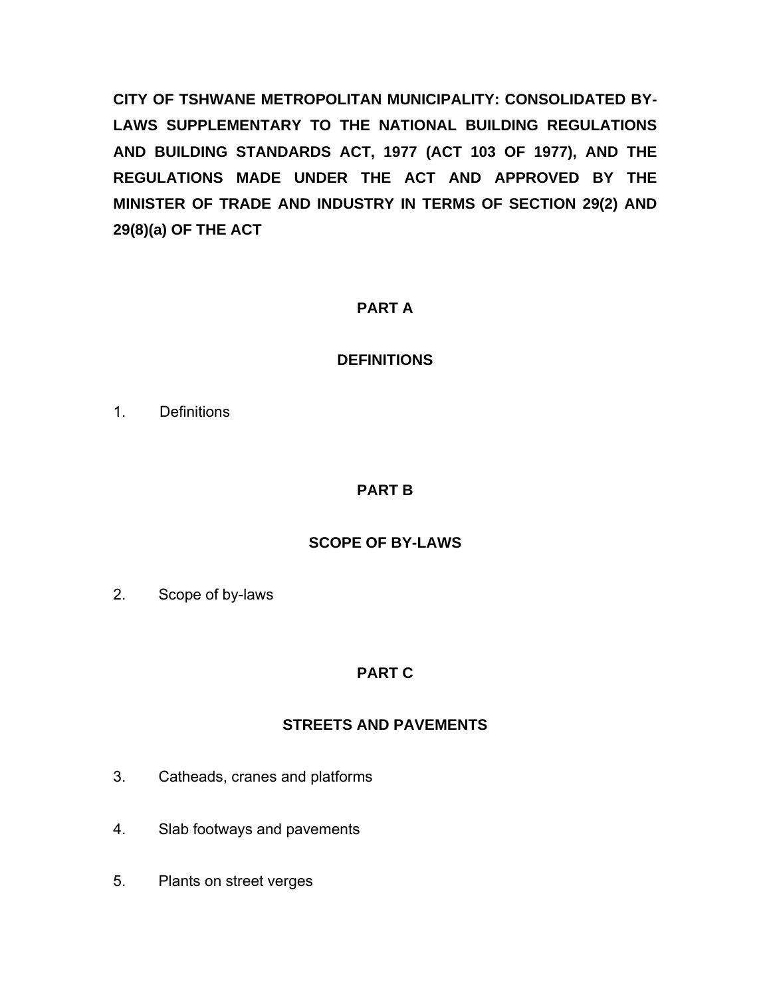**CITY OF TSHWANE METROPOLITAN MUNICIPALITY: CONSOLIDATED BY-LAWS SUPPLEMENTARY TO THE NATIONAL BUILDING REGULATIONS AND BUILDING STANDARDS ACT, 1977 (ACT 103 OF 1977), AND THE REGULATIONS MADE UNDER THE ACT AND APPROVED BY THE MINISTER OF TRADE AND INDUSTRY IN TERMS OF SECTION 29(2) AND 29(8)(a) OF THE ACT** 

## **PART A**

# **DEFINITIONS**

1. Definitions

# **PART B**

# **SCOPE OF BY-LAWS**

2. Scope of by-laws

# **PART C**

# **STREETS AND PAVEMENTS**

- 3. Catheads, cranes and platforms
- 4. Slab footways and pavements
- 5. Plants on street verges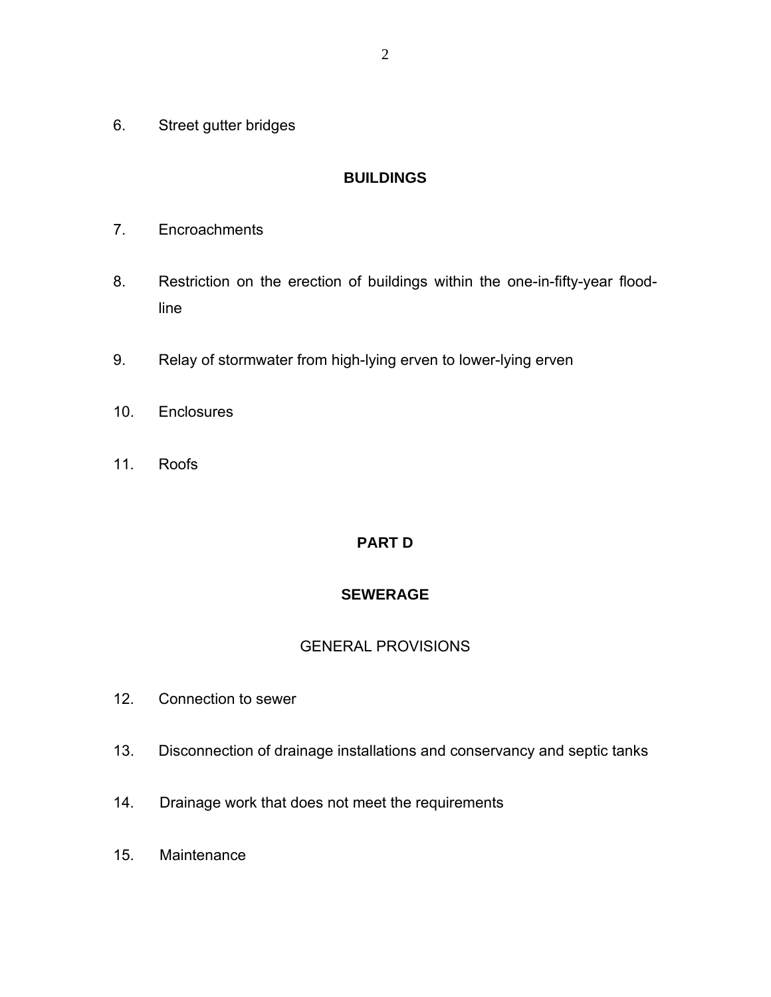6. Street gutter bridges

#### **BUILDINGS**

- 7. Encroachments
- 8. Restriction on the erection of buildings within the one-in-fifty-year floodline
- 9. Relay of stormwater from high-lying erven to lower-lying erven
- 10. Enclosures
- 11. Roofs

# **PART D**

### **SEWERAGE**

#### GENERAL PROVISIONS

- 12. Connection to sewer
- 13. Disconnection of drainage installations and conservancy and septic tanks
- 14. Drainage work that does not meet the requirements
- 15. Maintenance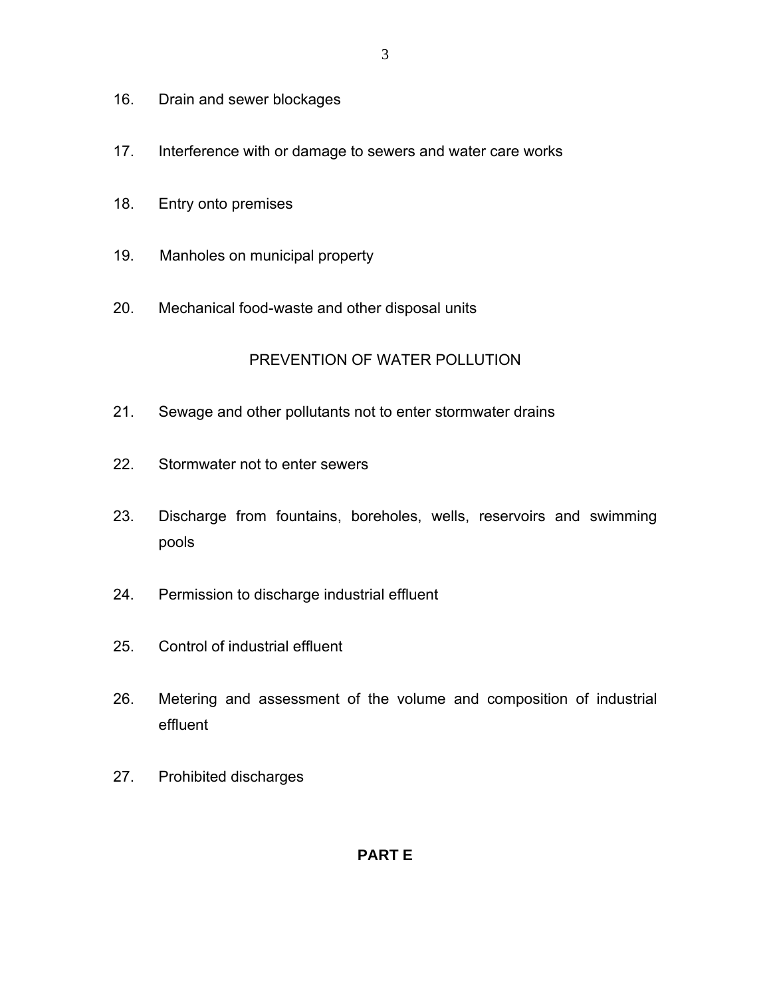- 16. Drain and sewer blockages
- 17. Interference with or damage to sewers and water care works
- 18. Entry onto premises
- 19. Manholes on municipal property
- 20. Mechanical food-waste and other disposal units

# PREVENTION OF WATER POLLUTION

- 21. Sewage and other pollutants not to enter stormwater drains
- 22. Stormwater not to enter sewers
- 23. Discharge from fountains, boreholes, wells, reservoirs and swimming pools
- 24. Permission to discharge industrial effluent
- 25. Control of industrial effluent
- 26. Metering and assessment of the volume and composition of industrial effluent
- 27. Prohibited discharges

# **PART E**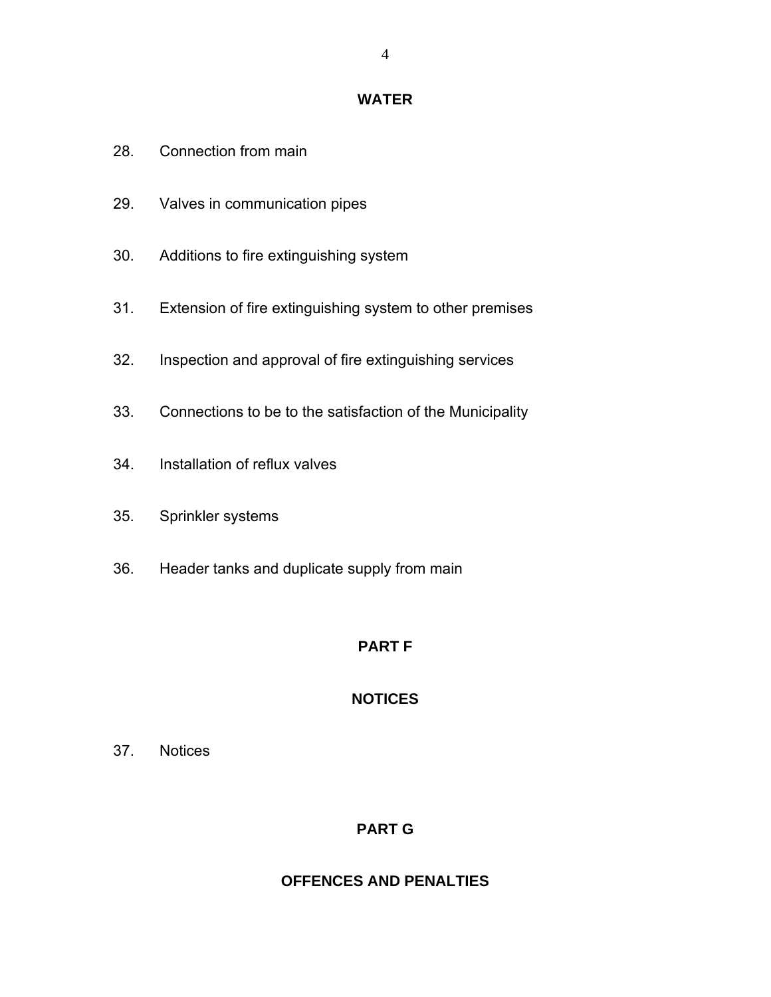#### **WATER**

- 28. Connection from main
- 29. Valves in communication pipes
- 30. Additions to fire extinguishing system
- 31. Extension of fire extinguishing system to other premises
- 32. Inspection and approval of fire extinguishing services
- 33. Connections to be to the satisfaction of the Municipality
- 34. Installation of reflux valves
- 35. Sprinkler systems
- 36. Header tanks and duplicate supply from main

# **PART F**

# **NOTICES**

37. Notices

# **PART G**

# **OFFENCES AND PENALTIES**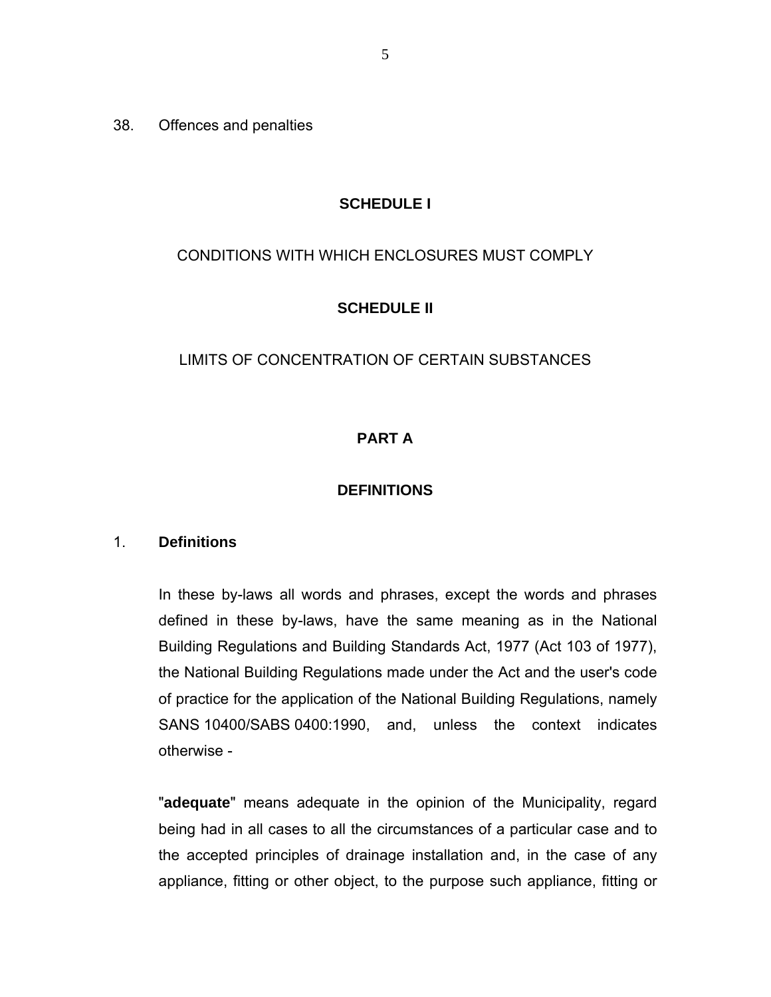38. Offences and penalties

### **SCHEDULE I**

## CONDITIONS WITH WHICH ENCLOSURES MUST COMPLY

## **SCHEDULE II**

## LIMITS OF CONCENTRATION OF CERTAIN SUBSTANCES

## **PART A**

#### **DEFINITIONS**

#### 1. **Definitions**

In these by-laws all words and phrases, except the words and phrases defined in these by-laws, have the same meaning as in the National Building Regulations and Building Standards Act, 1977 (Act 103 of 1977), the National Building Regulations made under the Act and the user's code of practice for the application of the National Building Regulations, namely SANS 10400/SABS 0400:1990, and, unless the context indicates otherwise -

"**adequate**" means adequate in the opinion of the Municipality, regard being had in all cases to all the circumstances of a particular case and to the accepted principles of drainage installation and, in the case of any appliance, fitting or other object, to the purpose such appliance, fitting or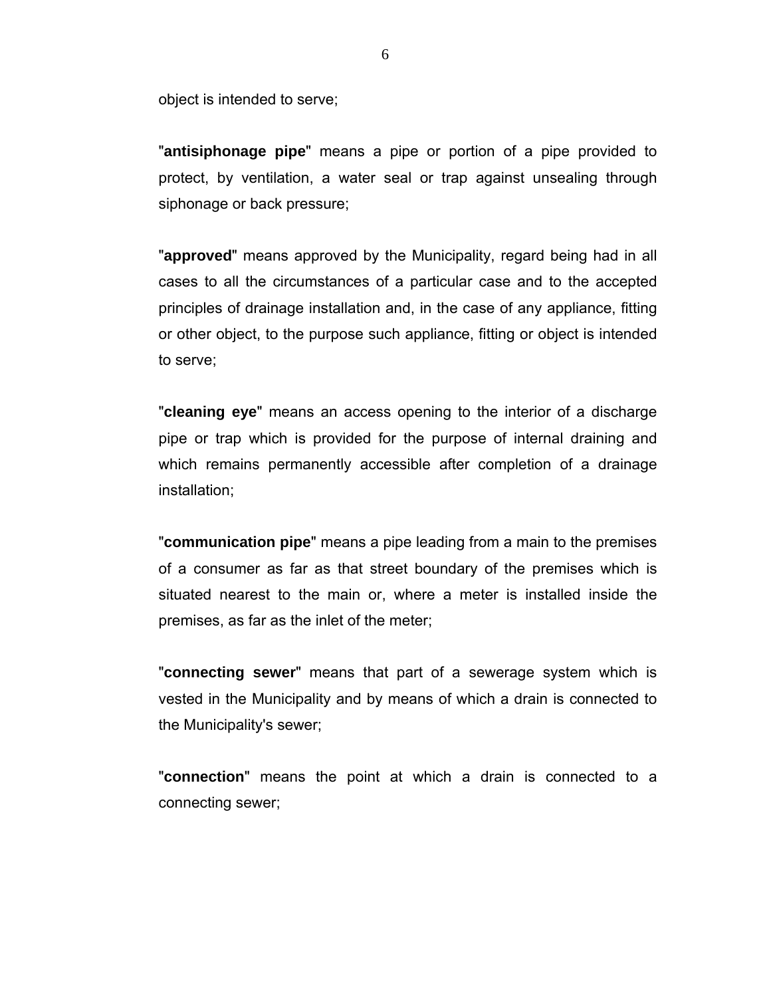object is intended to serve;

"**antisiphonage pipe**" means a pipe or portion of a pipe provided to protect, by ventilation, a water seal or trap against unsealing through siphonage or back pressure;

"**approved**" means approved by the Municipality, regard being had in all cases to all the circumstances of a particular case and to the accepted principles of drainage installation and, in the case of any appliance, fitting or other object, to the purpose such appliance, fitting or object is intended to serve;

"**cleaning eye**" means an access opening to the interior of a discharge pipe or trap which is provided for the purpose of internal draining and which remains permanently accessible after completion of a drainage installation;

"**communication pipe**" means a pipe leading from a main to the premises of a consumer as far as that street boundary of the premises which is situated nearest to the main or, where a meter is installed inside the premises, as far as the inlet of the meter;

"**connecting sewer**" means that part of a sewerage system which is vested in the Municipality and by means of which a drain is connected to the Municipality's sewer;

"**connection**" means the point at which a drain is connected to a connecting sewer;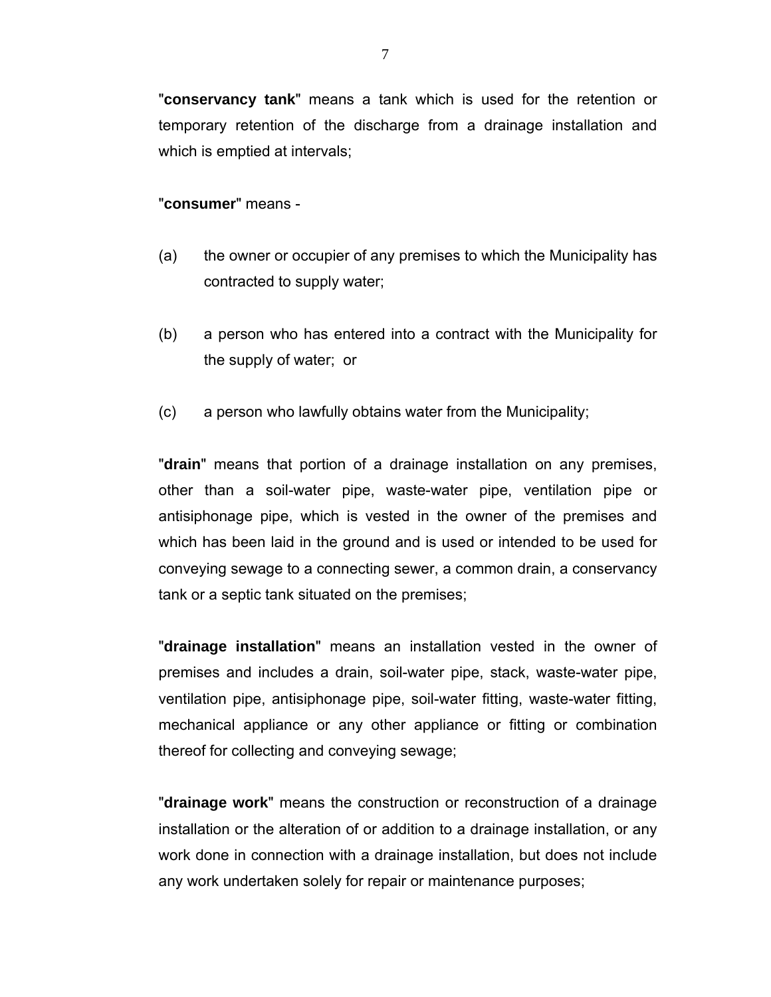"**conservancy tank**" means a tank which is used for the retention or temporary retention of the discharge from a drainage installation and which is emptied at intervals;

#### "**consumer**" means -

- (a) the owner or occupier of any premises to which the Municipality has contracted to supply water;
- (b) a person who has entered into a contract with the Municipality for the supply of water; or
- (c) a person who lawfully obtains water from the Municipality;

"**drain**" means that portion of a drainage installation on any premises, other than a soil-water pipe, waste-water pipe, ventilation pipe or antisiphonage pipe, which is vested in the owner of the premises and which has been laid in the ground and is used or intended to be used for conveying sewage to a connecting sewer, a common drain, a conservancy tank or a septic tank situated on the premises;

"**drainage installation**" means an installation vested in the owner of premises and includes a drain, soil-water pipe, stack, waste-water pipe, ventilation pipe, antisiphonage pipe, soil-water fitting, waste-water fitting, mechanical appliance or any other appliance or fitting or combination thereof for collecting and conveying sewage;

"**drainage work**" means the construction or reconstruction of a drainage installation or the alteration of or addition to a drainage installation, or any work done in connection with a drainage installation, but does not include any work undertaken solely for repair or maintenance purposes;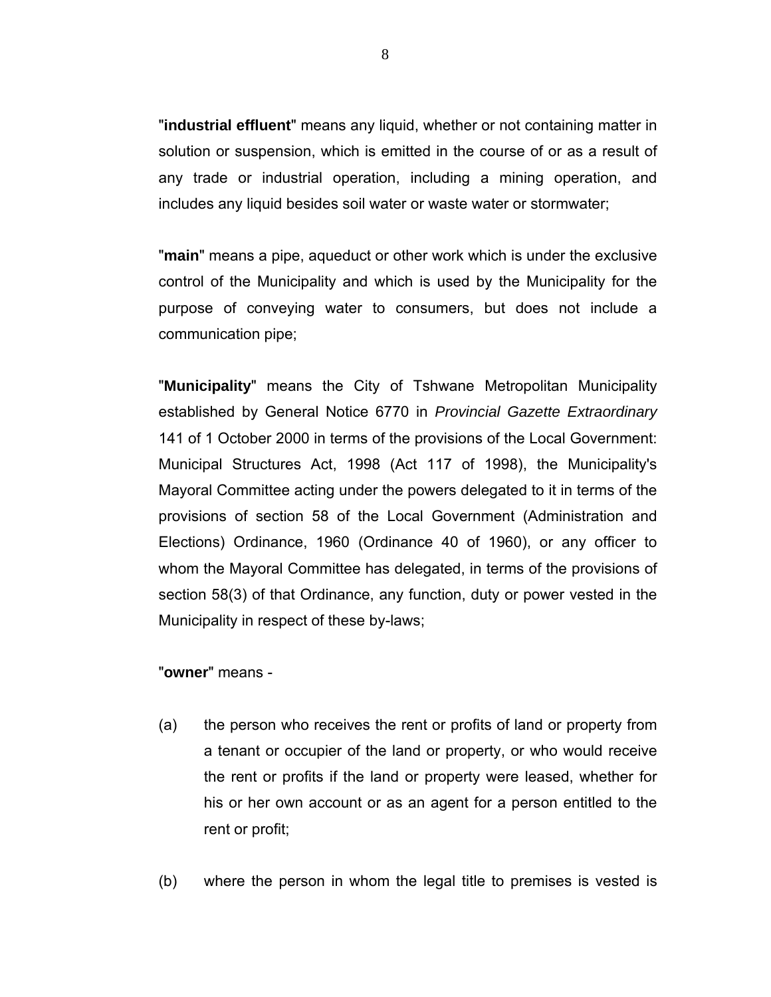"**industrial effluent**" means any liquid, whether or not containing matter in solution or suspension, which is emitted in the course of or as a result of any trade or industrial operation, including a mining operation, and includes any liquid besides soil water or waste water or stormwater;

"**main**" means a pipe, aqueduct or other work which is under the exclusive control of the Municipality and which is used by the Municipality for the purpose of conveying water to consumers, but does not include a communication pipe;

"**Municipality**" means the City of Tshwane Metropolitan Municipality established by General Notice 6770 in *Provincial Gazette Extraordinary* 141 of 1 October 2000 in terms of the provisions of the Local Government: Municipal Structures Act, 1998 (Act 117 of 1998), the Municipality's Mayoral Committee acting under the powers delegated to it in terms of the provisions of section 58 of the Local Government (Administration and Elections) Ordinance, 1960 (Ordinance 40 of 1960), or any officer to whom the Mayoral Committee has delegated, in terms of the provisions of section 58(3) of that Ordinance, any function, duty or power vested in the Municipality in respect of these by-laws;

#### "**owner**" means -

- (a) the person who receives the rent or profits of land or property from a tenant or occupier of the land or property, or who would receive the rent or profits if the land or property were leased, whether for his or her own account or as an agent for a person entitled to the rent or profit;
- (b) where the person in whom the legal title to premises is vested is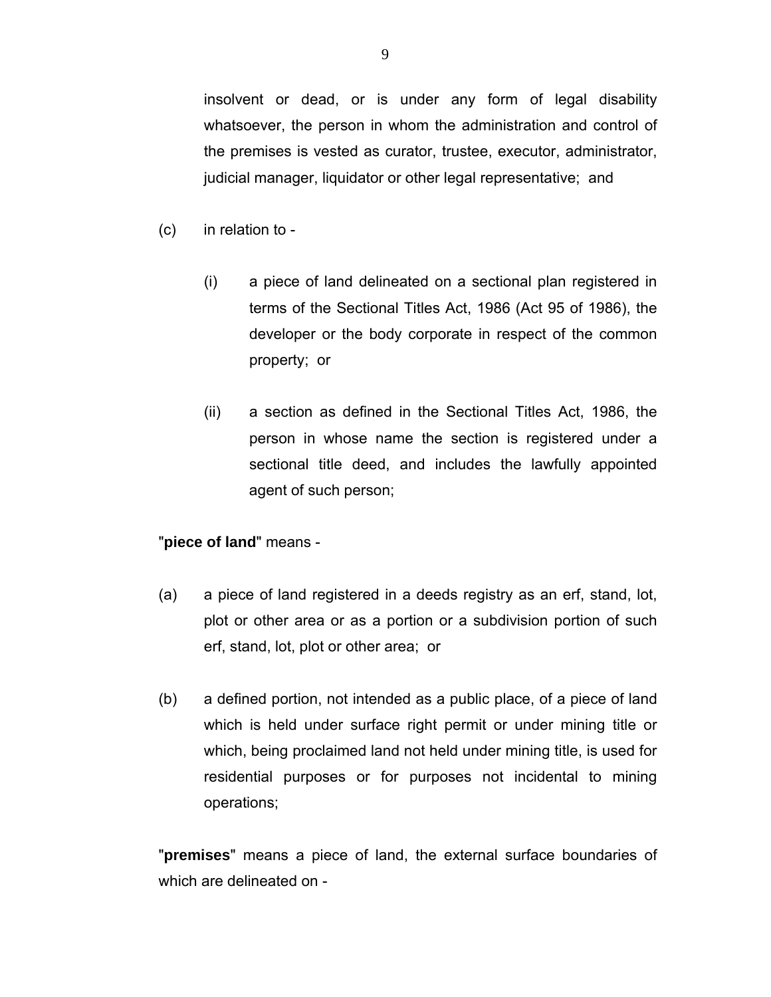insolvent or dead, or is under any form of legal disability whatsoever, the person in whom the administration and control of the premises is vested as curator, trustee, executor, administrator, judicial manager, liquidator or other legal representative; and

- (c) in relation to
	- (i) a piece of land delineated on a sectional plan registered in terms of the Sectional Titles Act, 1986 (Act 95 of 1986), the developer or the body corporate in respect of the common property; or
	- (ii) a section as defined in the Sectional Titles Act, 1986, the person in whose name the section is registered under a sectional title deed, and includes the lawfully appointed agent of such person;

#### "**piece of land**" means -

- (a) a piece of land registered in a deeds registry as an erf, stand, lot, plot or other area or as a portion or a subdivision portion of such erf, stand, lot, plot or other area; or
- (b) a defined portion, not intended as a public place, of a piece of land which is held under surface right permit or under mining title or which, being proclaimed land not held under mining title, is used for residential purposes or for purposes not incidental to mining operations;

"**premises**" means a piece of land, the external surface boundaries of which are delineated on -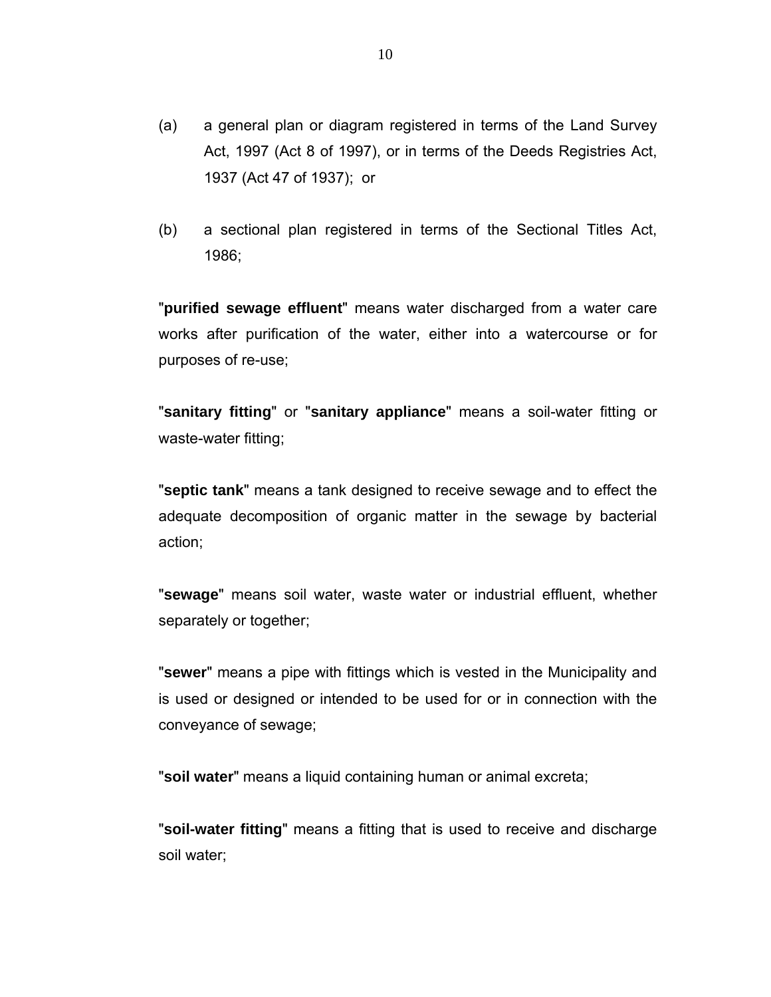- (a) a general plan or diagram registered in terms of the Land Survey Act, 1997 (Act 8 of 1997), or in terms of the Deeds Registries Act, 1937 (Act 47 of 1937); or
- (b) a sectional plan registered in terms of the Sectional Titles Act, 1986;

"**purified sewage effluent**" means water discharged from a water care works after purification of the water, either into a watercourse or for purposes of re-use;

"**sanitary fitting**" or "**sanitary appliance**" means a soil-water fitting or waste-water fitting;

"**septic tank**" means a tank designed to receive sewage and to effect the adequate decomposition of organic matter in the sewage by bacterial action;

"**sewage**" means soil water, waste water or industrial effluent, whether separately or together;

"**sewer**" means a pipe with fittings which is vested in the Municipality and is used or designed or intended to be used for or in connection with the conveyance of sewage;

"**soil water**" means a liquid containing human or animal excreta;

"**soil-water fitting**" means a fitting that is used to receive and discharge soil water;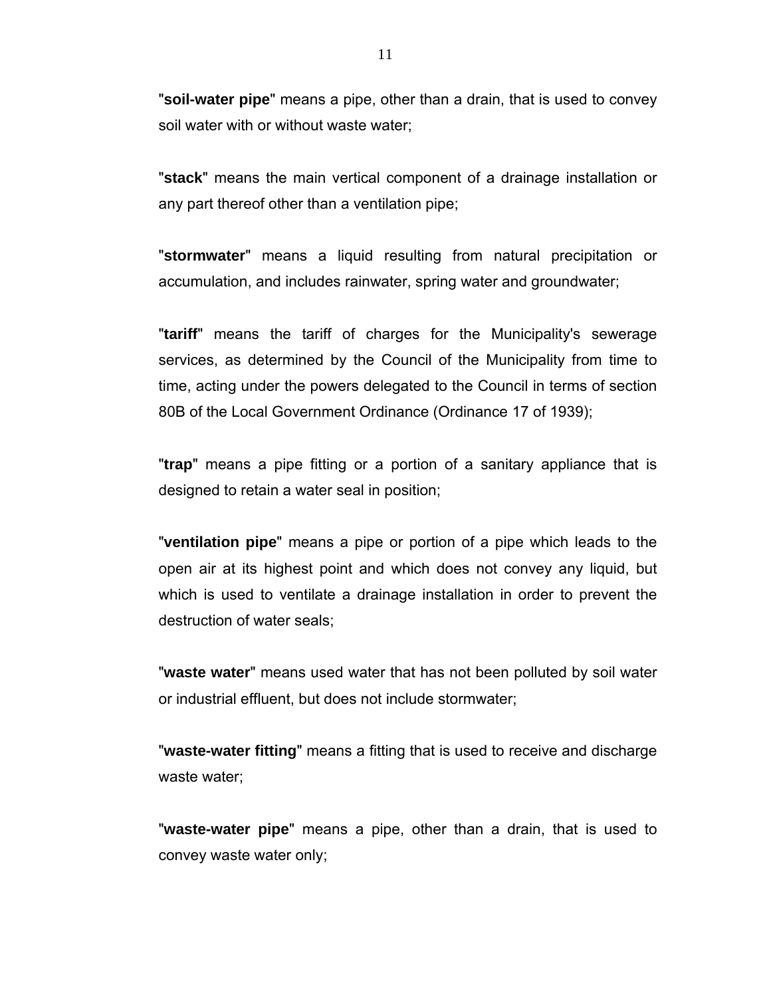"**soil-water pipe**" means a pipe, other than a drain, that is used to convey soil water with or without waste water;

"**stack**" means the main vertical component of a drainage installation or any part thereof other than a ventilation pipe;

"**stormwater**" means a liquid resulting from natural precipitation or accumulation, and includes rainwater, spring water and groundwater;

"**tariff**" means the tariff of charges for the Municipality's sewerage services, as determined by the Council of the Municipality from time to time, acting under the powers delegated to the Council in terms of section 80B of the Local Government Ordinance (Ordinance 17 of 1939);

"**trap**" means a pipe fitting or a portion of a sanitary appliance that is designed to retain a water seal in position;

"**ventilation pipe**" means a pipe or portion of a pipe which leads to the open air at its highest point and which does not convey any liquid, but which is used to ventilate a drainage installation in order to prevent the destruction of water seals;

"**waste water**" means used water that has not been polluted by soil water or industrial effluent, but does not include stormwater;

"**waste-water fitting**" means a fitting that is used to receive and discharge waste water;

"**waste-water pipe**" means a pipe, other than a drain, that is used to convey waste water only;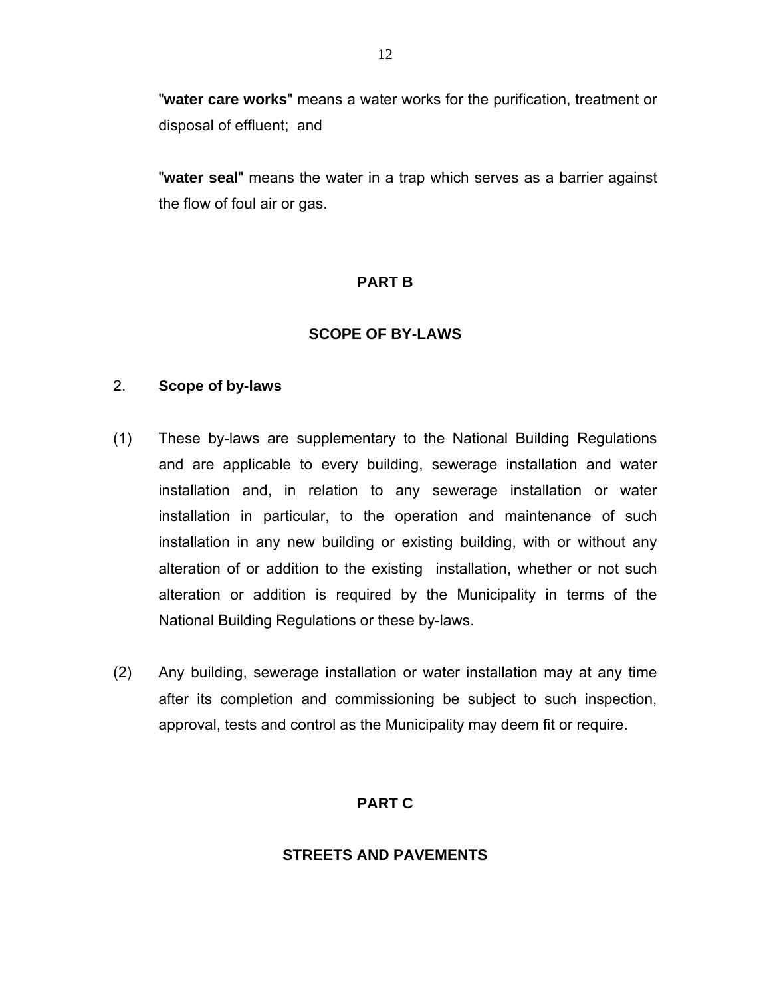"**water care works**" means a water works for the purification, treatment or disposal of effluent; and

"**water seal**" means the water in a trap which serves as a barrier against the flow of foul air or gas.

## **PART B**

## **SCOPE OF BY-LAWS**

#### 2. **Scope of by-laws**

- (1) These by-laws are supplementary to the National Building Regulations and are applicable to every building, sewerage installation and water installation and, in relation to any sewerage installation or water installation in particular, to the operation and maintenance of such installation in any new building or existing building, with or without any alteration of or addition to the existing installation, whether or not such alteration or addition is required by the Municipality in terms of the National Building Regulations or these by-laws.
- (2) Any building, sewerage installation or water installation may at any time after its completion and commissioning be subject to such inspection, approval, tests and control as the Municipality may deem fit or require.

# **PART C**

#### **STREETS AND PAVEMENTS**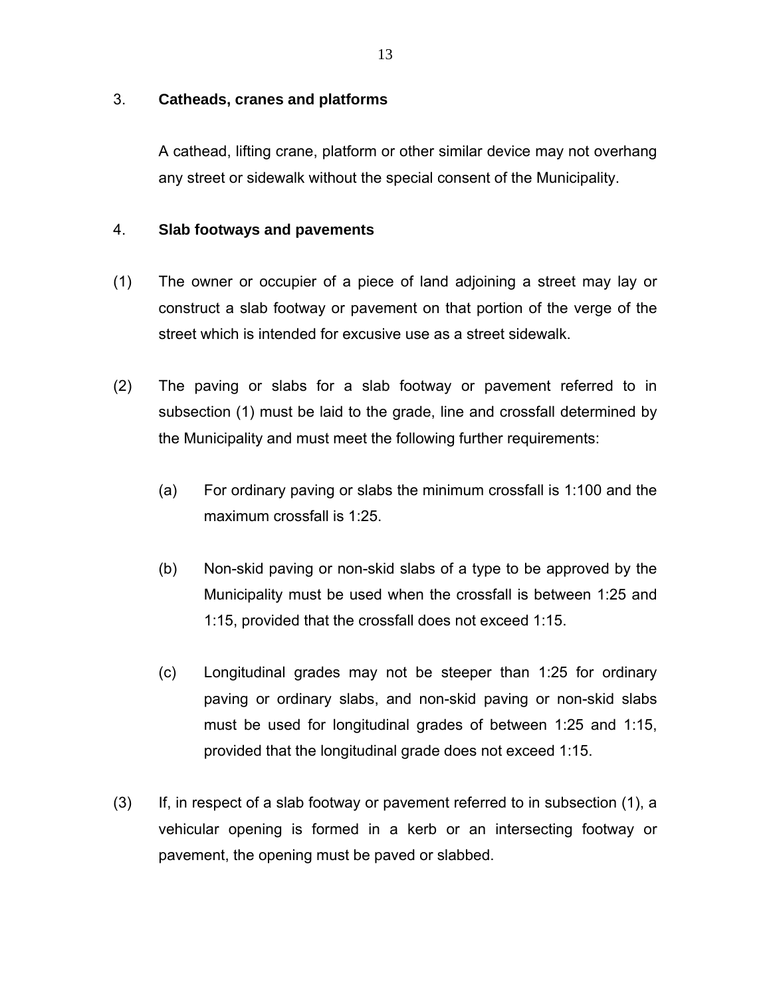#### 3. **Catheads, cranes and platforms**

A cathead, lifting crane, platform or other similar device may not overhang any street or sidewalk without the special consent of the Municipality.

#### 4. **Slab footways and pavements**

- (1) The owner or occupier of a piece of land adjoining a street may lay or construct a slab footway or pavement on that portion of the verge of the street which is intended for excusive use as a street sidewalk.
- (2) The paving or slabs for a slab footway or pavement referred to in subsection (1) must be laid to the grade, line and crossfall determined by the Municipality and must meet the following further requirements:
	- (a) For ordinary paving or slabs the minimum crossfall is 1:100 and the maximum crossfall is 1:25.
	- (b) Non-skid paving or non-skid slabs of a type to be approved by the Municipality must be used when the crossfall is between 1:25 and 1:15, provided that the crossfall does not exceed 1:15.
	- (c) Longitudinal grades may not be steeper than 1:25 for ordinary paving or ordinary slabs, and non-skid paving or non-skid slabs must be used for longitudinal grades of between 1:25 and 1:15, provided that the longitudinal grade does not exceed 1:15.
- (3) If, in respect of a slab footway or pavement referred to in subsection (1), a vehicular opening is formed in a kerb or an intersecting footway or pavement, the opening must be paved or slabbed.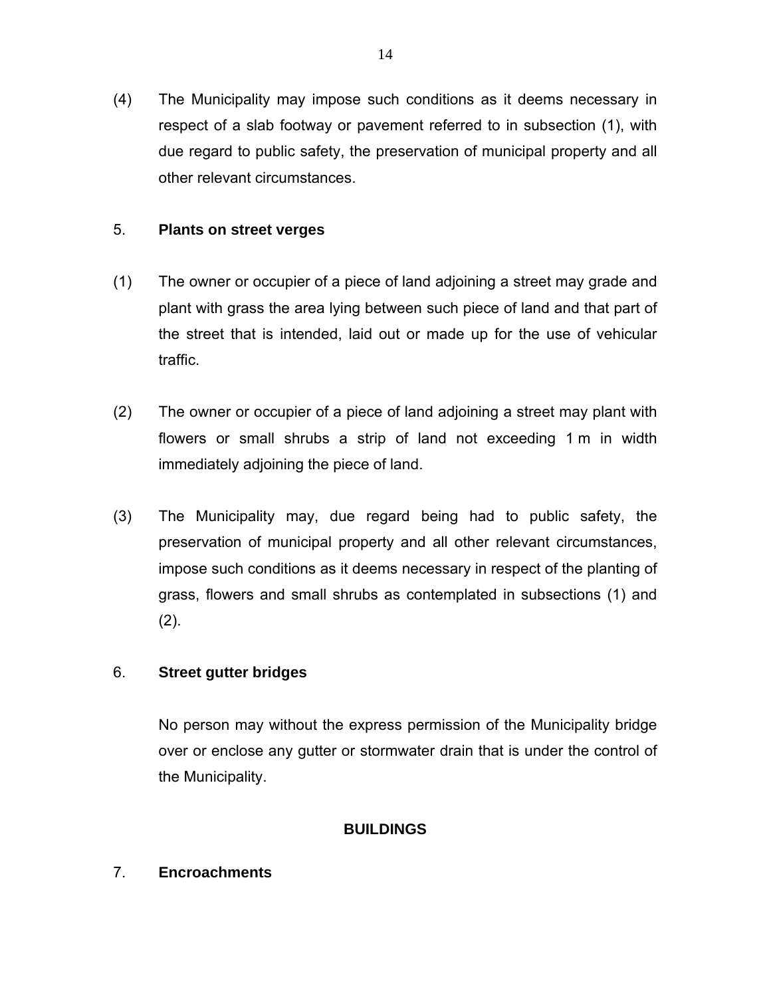(4) The Municipality may impose such conditions as it deems necessary in respect of a slab footway or pavement referred to in subsection (1), with due regard to public safety, the preservation of municipal property and all other relevant circumstances.

## 5. **Plants on street verges**

- (1) The owner or occupier of a piece of land adjoining a street may grade and plant with grass the area lying between such piece of land and that part of the street that is intended, laid out or made up for the use of vehicular traffic.
- (2) The owner or occupier of a piece of land adjoining a street may plant with flowers or small shrubs a strip of land not exceeding 1 m in width immediately adjoining the piece of land.
- (3) The Municipality may, due regard being had to public safety, the preservation of municipal property and all other relevant circumstances, impose such conditions as it deems necessary in respect of the planting of grass, flowers and small shrubs as contemplated in subsections (1) and (2).

# 6. **Street gutter bridges**

No person may without the express permission of the Municipality bridge over or enclose any gutter or stormwater drain that is under the control of the Municipality.

# **BUILDINGS**

# 7. **Encroachments**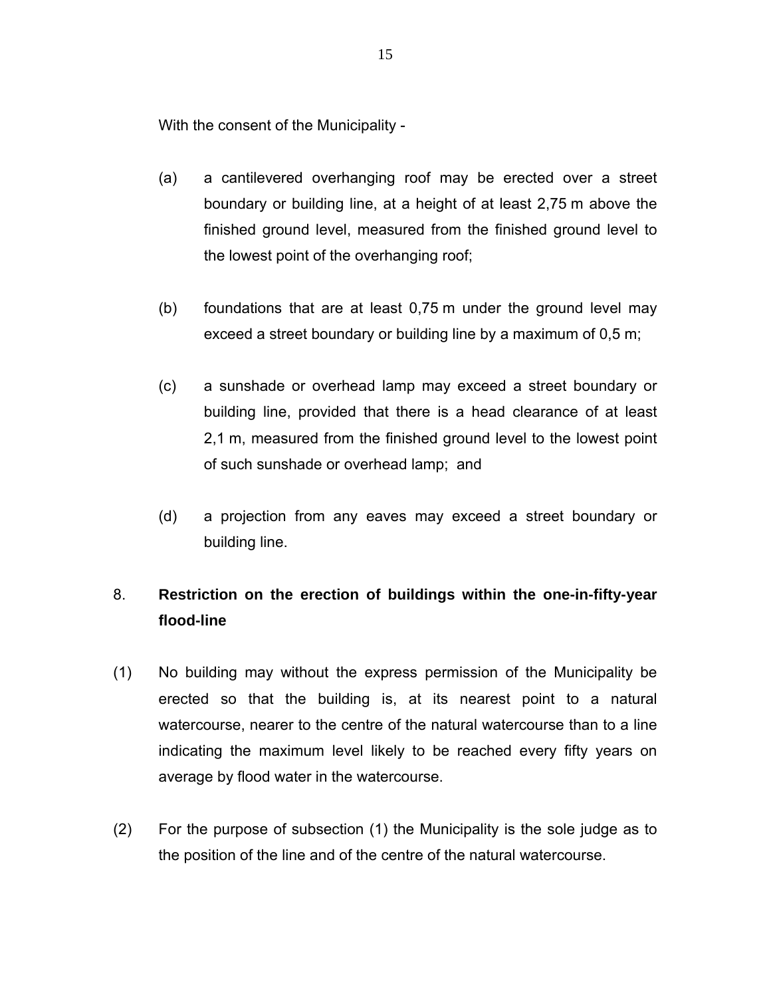With the consent of the Municipality -

- (a) a cantilevered overhanging roof may be erected over a street boundary or building line, at a height of at least 2,75 m above the finished ground level, measured from the finished ground level to the lowest point of the overhanging roof;
- (b) foundations that are at least 0,75 m under the ground level may exceed a street boundary or building line by a maximum of 0,5 m;
- (c) a sunshade or overhead lamp may exceed a street boundary or building line, provided that there is a head clearance of at least 2,1 m, measured from the finished ground level to the lowest point of such sunshade or overhead lamp; and
- (d) a projection from any eaves may exceed a street boundary or building line.

# 8. **Restriction on the erection of buildings within the one-in-fifty-year flood-line**

- (1) No building may without the express permission of the Municipality be erected so that the building is, at its nearest point to a natural watercourse, nearer to the centre of the natural watercourse than to a line indicating the maximum level likely to be reached every fifty years on average by flood water in the watercourse.
- (2) For the purpose of subsection (1) the Municipality is the sole judge as to the position of the line and of the centre of the natural watercourse.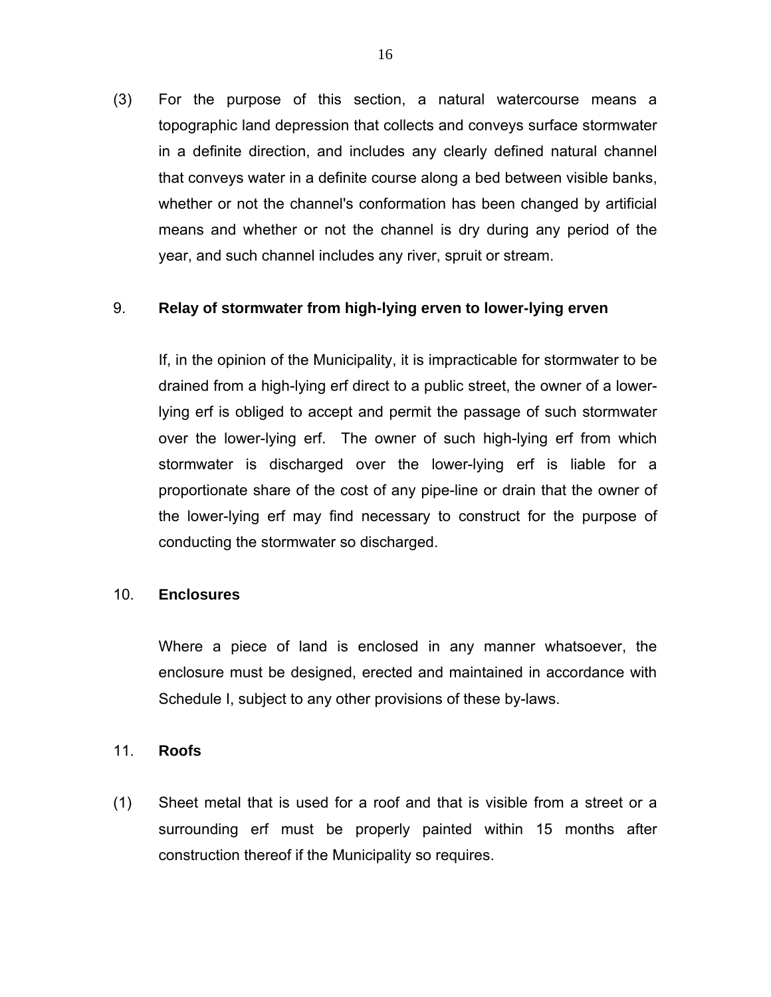(3) For the purpose of this section, a natural watercourse means a topographic land depression that collects and conveys surface stormwater in a definite direction, and includes any clearly defined natural channel that conveys water in a definite course along a bed between visible banks, whether or not the channel's conformation has been changed by artificial means and whether or not the channel is dry during any period of the year, and such channel includes any river, spruit or stream.

#### 9. **Relay of stormwater from high-lying erven to lower-lying erven**

If, in the opinion of the Municipality, it is impracticable for stormwater to be drained from a high-lying erf direct to a public street, the owner of a lowerlying erf is obliged to accept and permit the passage of such stormwater over the lower-lying erf. The owner of such high-lying erf from which stormwater is discharged over the lower-lying erf is liable for a proportionate share of the cost of any pipe-line or drain that the owner of the lower-lying erf may find necessary to construct for the purpose of conducting the stormwater so discharged.

#### 10. **Enclosures**

Where a piece of land is enclosed in any manner whatsoever, the enclosure must be designed, erected and maintained in accordance with Schedule I, subject to any other provisions of these by-laws.

#### 11. **Roofs**

(1) Sheet metal that is used for a roof and that is visible from a street or a surrounding erf must be properly painted within 15 months after construction thereof if the Municipality so requires.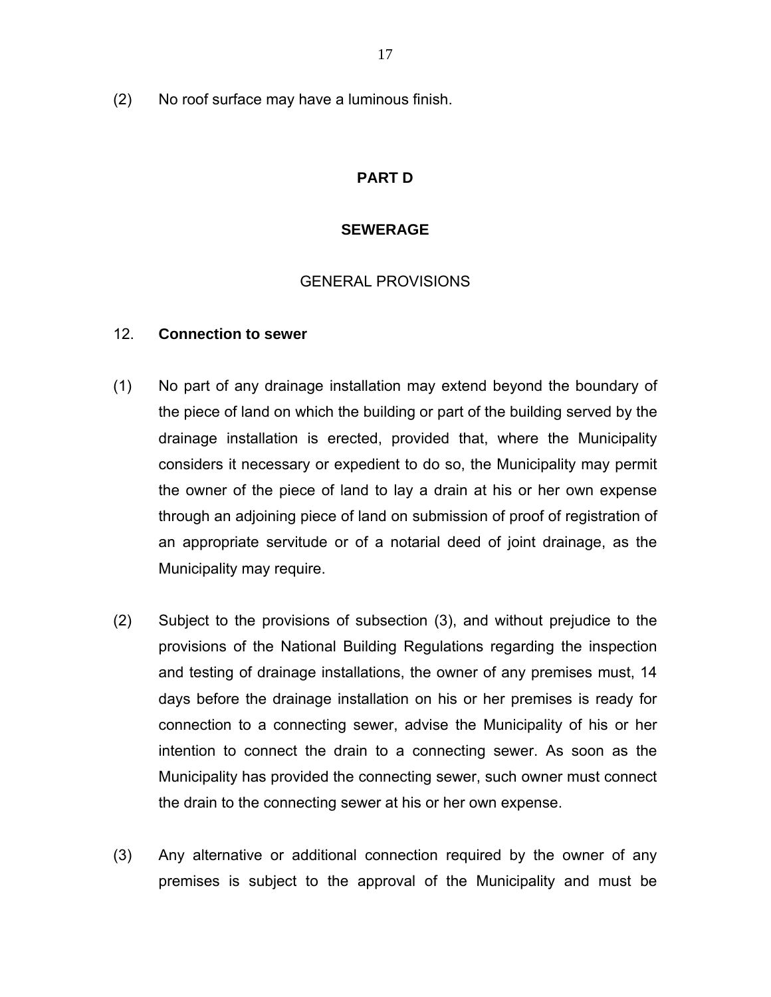(2) No roof surface may have a luminous finish.

### **PART D**

#### **SEWERAGE**

#### GENERAL PROVISIONS

#### 12. **Connection to sewer**

- (1) No part of any drainage installation may extend beyond the boundary of the piece of land on which the building or part of the building served by the drainage installation is erected, provided that, where the Municipality considers it necessary or expedient to do so, the Municipality may permit the owner of the piece of land to lay a drain at his or her own expense through an adjoining piece of land on submission of proof of registration of an appropriate servitude or of a notarial deed of joint drainage, as the Municipality may require.
- (2) Subject to the provisions of subsection (3), and without prejudice to the provisions of the National Building Regulations regarding the inspection and testing of drainage installations, the owner of any premises must, 14 days before the drainage installation on his or her premises is ready for connection to a connecting sewer, advise the Municipality of his or her intention to connect the drain to a connecting sewer. As soon as the Municipality has provided the connecting sewer, such owner must connect the drain to the connecting sewer at his or her own expense.
- (3) Any alternative or additional connection required by the owner of any premises is subject to the approval of the Municipality and must be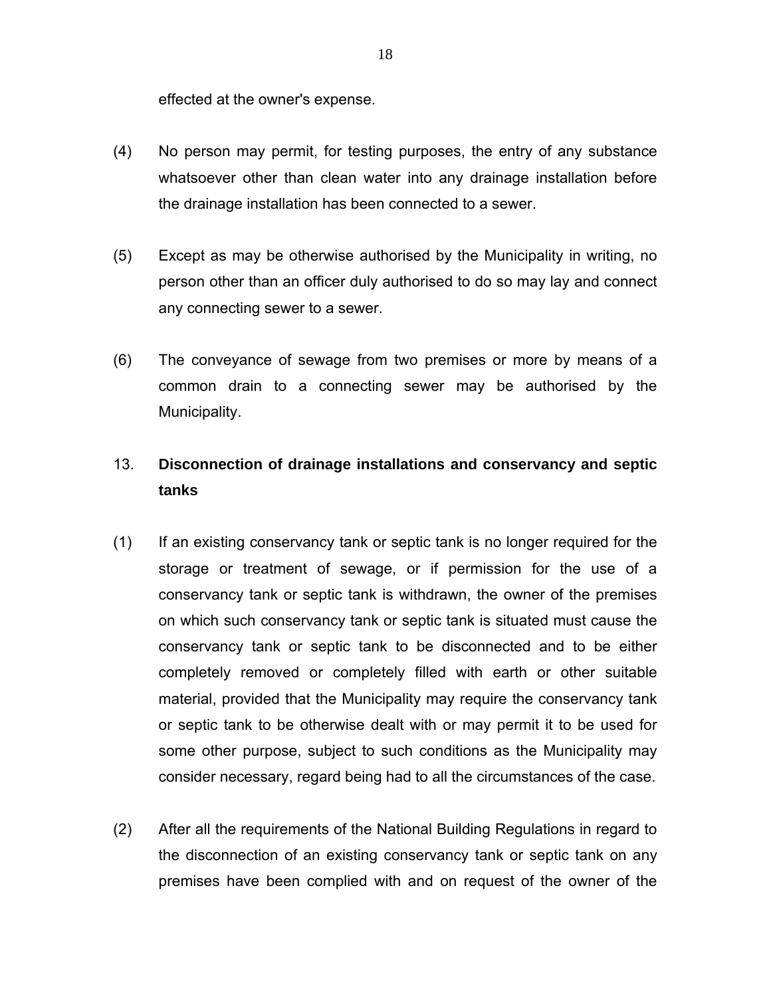effected at the owner's expense.

- (4) No person may permit, for testing purposes, the entry of any substance whatsoever other than clean water into any drainage installation before the drainage installation has been connected to a sewer.
- (5) Except as may be otherwise authorised by the Municipality in writing, no person other than an officer duly authorised to do so may lay and connect any connecting sewer to a sewer.
- (6) The conveyance of sewage from two premises or more by means of a common drain to a connecting sewer may be authorised by the Municipality.

# 13. **Disconnection of drainage installations and conservancy and septic tanks**

- (1) If an existing conservancy tank or septic tank is no longer required for the storage or treatment of sewage, or if permission for the use of a conservancy tank or septic tank is withdrawn, the owner of the premises on which such conservancy tank or septic tank is situated must cause the conservancy tank or septic tank to be disconnected and to be either completely removed or completely filled with earth or other suitable material, provided that the Municipality may require the conservancy tank or septic tank to be otherwise dealt with or may permit it to be used for some other purpose, subject to such conditions as the Municipality may consider necessary, regard being had to all the circumstances of the case.
- (2) After all the requirements of the National Building Regulations in regard to the disconnection of an existing conservancy tank or septic tank on any premises have been complied with and on request of the owner of the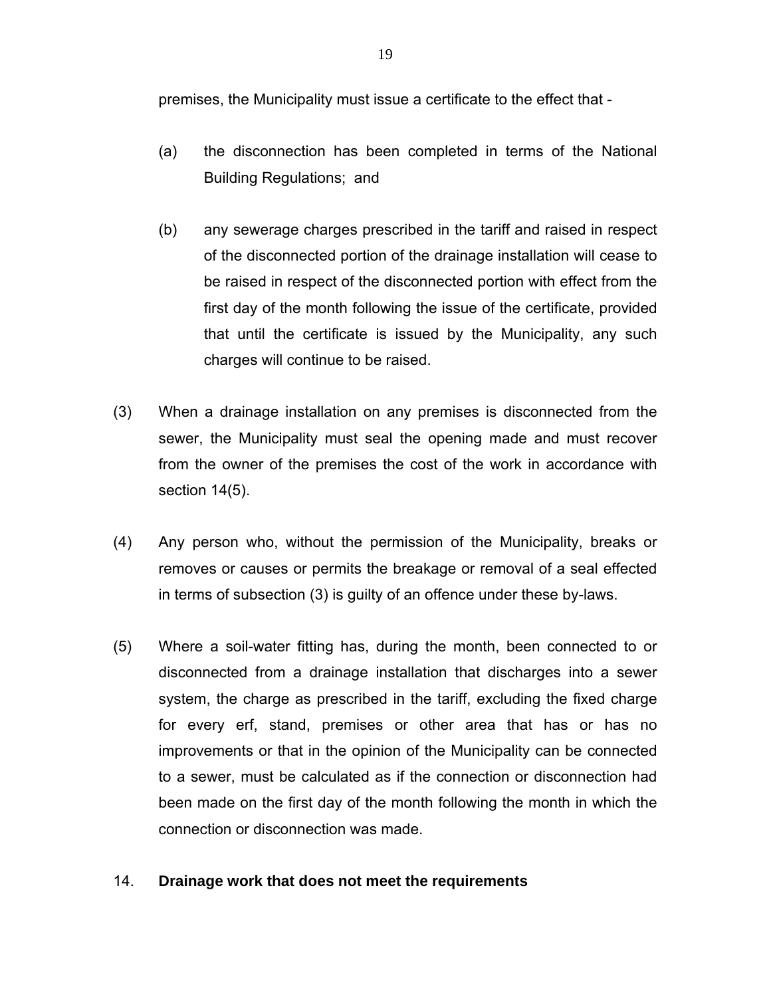premises, the Municipality must issue a certificate to the effect that -

- (a) the disconnection has been completed in terms of the National Building Regulations; and
- (b) any sewerage charges prescribed in the tariff and raised in respect of the disconnected portion of the drainage installation will cease to be raised in respect of the disconnected portion with effect from the first day of the month following the issue of the certificate, provided that until the certificate is issued by the Municipality, any such charges will continue to be raised.
- (3) When a drainage installation on any premises is disconnected from the sewer, the Municipality must seal the opening made and must recover from the owner of the premises the cost of the work in accordance with section 14(5).
- (4) Any person who, without the permission of the Municipality, breaks or removes or causes or permits the breakage or removal of a seal effected in terms of subsection (3) is guilty of an offence under these by-laws.
- (5) Where a soil-water fitting has, during the month, been connected to or disconnected from a drainage installation that discharges into a sewer system, the charge as prescribed in the tariff, excluding the fixed charge for every erf, stand, premises or other area that has or has no improvements or that in the opinion of the Municipality can be connected to a sewer, must be calculated as if the connection or disconnection had been made on the first day of the month following the month in which the connection or disconnection was made.

#### 14. **Drainage work that does not meet the requirements**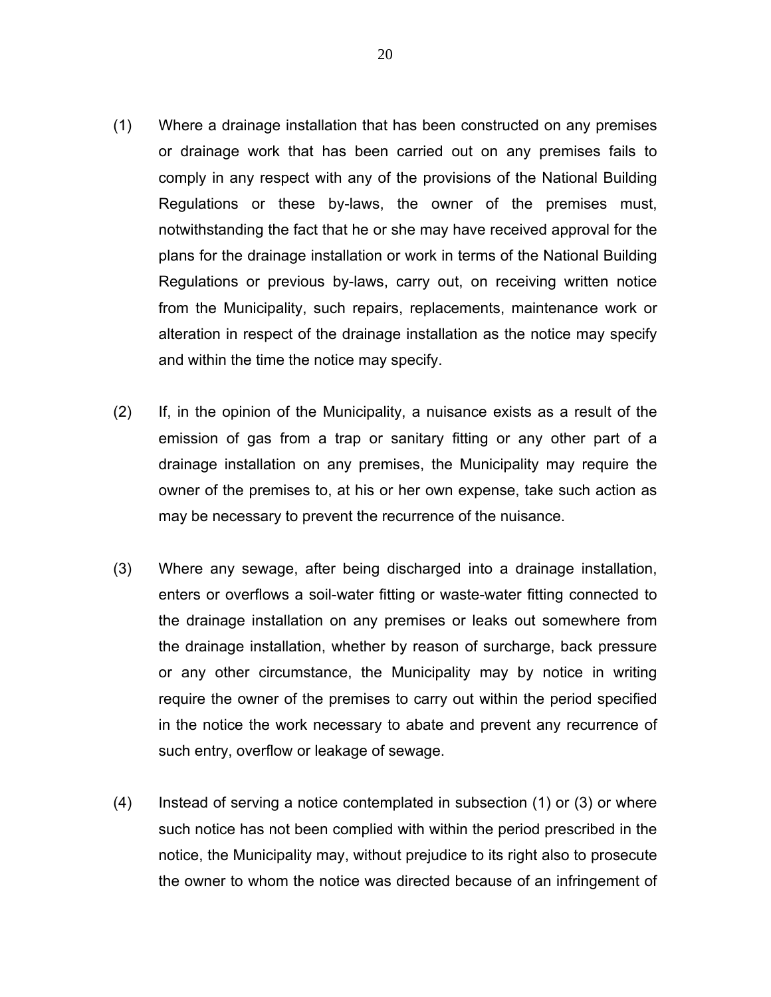- (1) Where a drainage installation that has been constructed on any premises or drainage work that has been carried out on any premises fails to comply in any respect with any of the provisions of the National Building Regulations or these by-laws, the owner of the premises must, notwithstanding the fact that he or she may have received approval for the plans for the drainage installation or work in terms of the National Building Regulations or previous by-laws, carry out, on receiving written notice from the Municipality, such repairs, replacements, maintenance work or alteration in respect of the drainage installation as the notice may specify and within the time the notice may specify.
- (2) If, in the opinion of the Municipality, a nuisance exists as a result of the emission of gas from a trap or sanitary fitting or any other part of a drainage installation on any premises, the Municipality may require the owner of the premises to, at his or her own expense, take such action as may be necessary to prevent the recurrence of the nuisance.
- (3) Where any sewage, after being discharged into a drainage installation, enters or overflows a soil-water fitting or waste-water fitting connected to the drainage installation on any premises or leaks out somewhere from the drainage installation, whether by reason of surcharge, back pressure or any other circumstance, the Municipality may by notice in writing require the owner of the premises to carry out within the period specified in the notice the work necessary to abate and prevent any recurrence of such entry, overflow or leakage of sewage.
- (4) Instead of serving a notice contemplated in subsection (1) or (3) or where such notice has not been complied with within the period prescribed in the notice, the Municipality may, without prejudice to its right also to prosecute the owner to whom the notice was directed because of an infringement of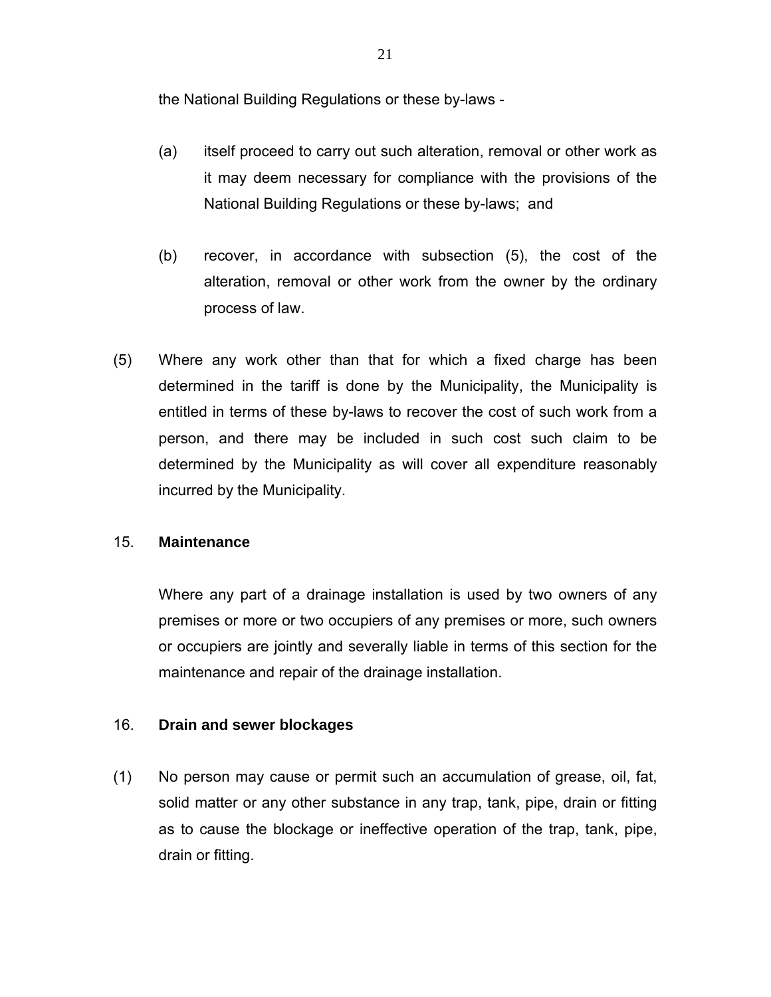the National Building Regulations or these by-laws -

- (a) itself proceed to carry out such alteration, removal or other work as it may deem necessary for compliance with the provisions of the National Building Regulations or these by-laws; and
- (b) recover, in accordance with subsection (5), the cost of the alteration, removal or other work from the owner by the ordinary process of law.
- (5) Where any work other than that for which a fixed charge has been determined in the tariff is done by the Municipality, the Municipality is entitled in terms of these by-laws to recover the cost of such work from a person, and there may be included in such cost such claim to be determined by the Municipality as will cover all expenditure reasonably incurred by the Municipality.

#### 15. **Maintenance**

Where any part of a drainage installation is used by two owners of any premises or more or two occupiers of any premises or more, such owners or occupiers are jointly and severally liable in terms of this section for the maintenance and repair of the drainage installation.

#### 16. **Drain and sewer blockages**

(1) No person may cause or permit such an accumulation of grease, oil, fat, solid matter or any other substance in any trap, tank, pipe, drain or fitting as to cause the blockage or ineffective operation of the trap, tank, pipe, drain or fitting.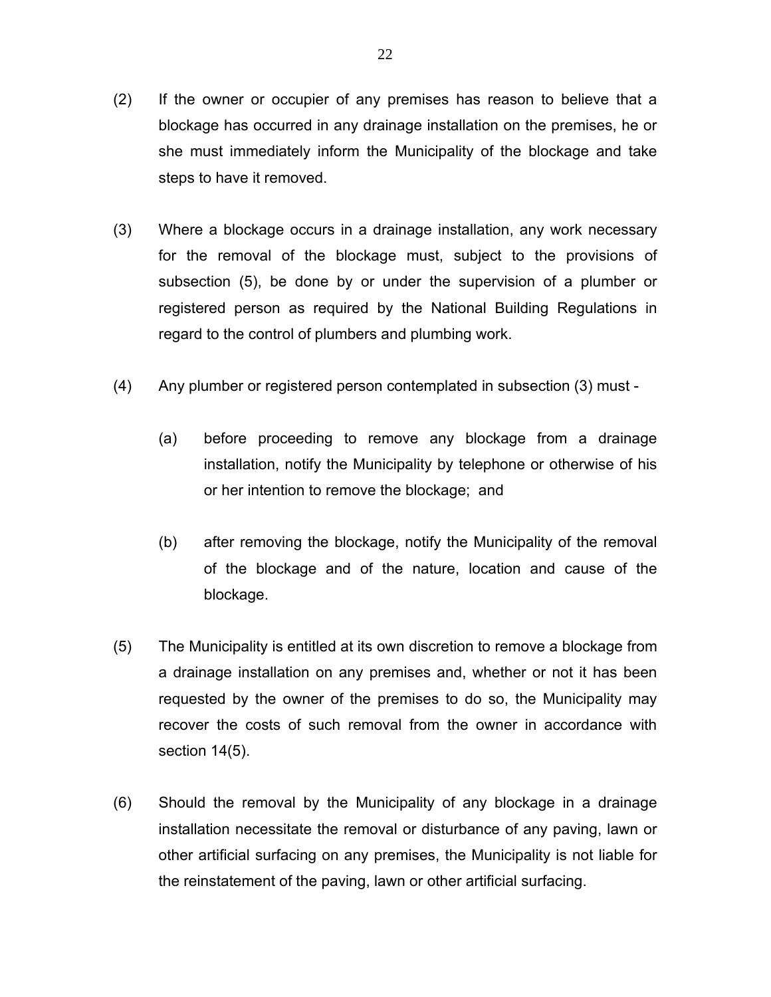- (2) If the owner or occupier of any premises has reason to believe that a blockage has occurred in any drainage installation on the premises, he or she must immediately inform the Municipality of the blockage and take steps to have it removed.
- (3) Where a blockage occurs in a drainage installation, any work necessary for the removal of the blockage must, subject to the provisions of subsection (5), be done by or under the supervision of a plumber or registered person as required by the National Building Regulations in regard to the control of plumbers and plumbing work.
- (4) Any plumber or registered person contemplated in subsection (3) must
	- (a) before proceeding to remove any blockage from a drainage installation, notify the Municipality by telephone or otherwise of his or her intention to remove the blockage; and
	- (b) after removing the blockage, notify the Municipality of the removal of the blockage and of the nature, location and cause of the blockage.
- (5) The Municipality is entitled at its own discretion to remove a blockage from a drainage installation on any premises and, whether or not it has been requested by the owner of the premises to do so, the Municipality may recover the costs of such removal from the owner in accordance with section 14(5).
- (6) Should the removal by the Municipality of any blockage in a drainage installation necessitate the removal or disturbance of any paving, lawn or other artificial surfacing on any premises, the Municipality is not liable for the reinstatement of the paving, lawn or other artificial surfacing.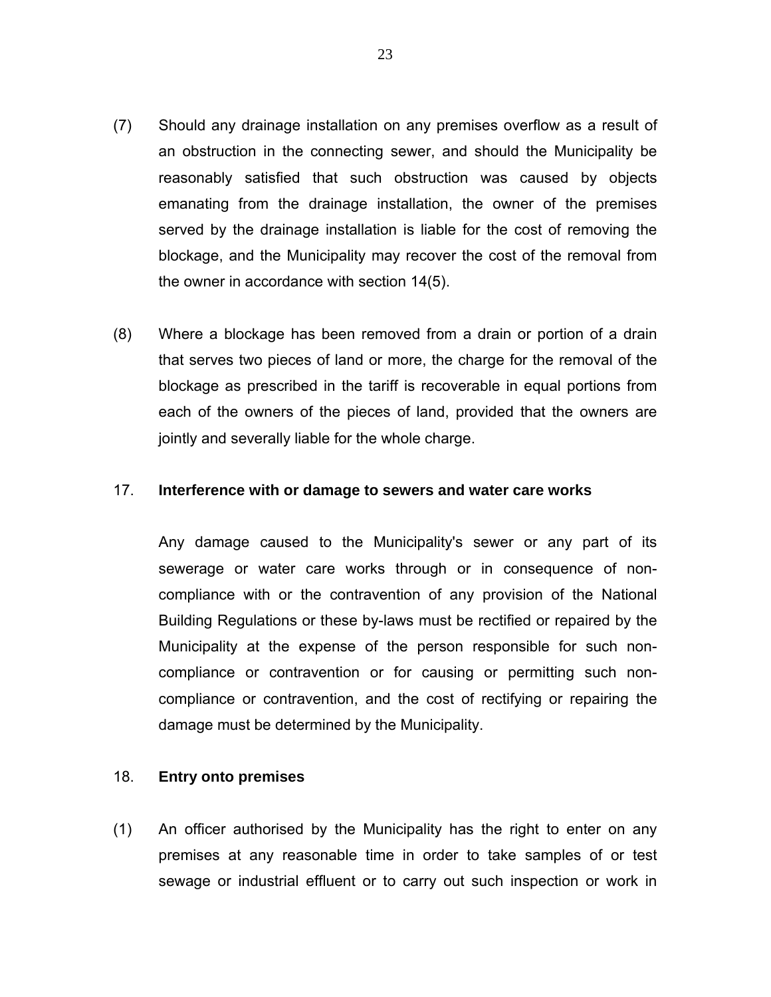- (7) Should any drainage installation on any premises overflow as a result of an obstruction in the connecting sewer, and should the Municipality be reasonably satisfied that such obstruction was caused by objects emanating from the drainage installation, the owner of the premises served by the drainage installation is liable for the cost of removing the blockage, and the Municipality may recover the cost of the removal from the owner in accordance with section 14(5).
- (8) Where a blockage has been removed from a drain or portion of a drain that serves two pieces of land or more, the charge for the removal of the blockage as prescribed in the tariff is recoverable in equal portions from each of the owners of the pieces of land, provided that the owners are jointly and severally liable for the whole charge.

#### 17. **Interference with or damage to sewers and water care works**

Any damage caused to the Municipality's sewer or any part of its sewerage or water care works through or in consequence of noncompliance with or the contravention of any provision of the National Building Regulations or these by-laws must be rectified or repaired by the Municipality at the expense of the person responsible for such noncompliance or contravention or for causing or permitting such noncompliance or contravention, and the cost of rectifying or repairing the damage must be determined by the Municipality.

#### 18. **Entry onto premises**

(1) An officer authorised by the Municipality has the right to enter on any premises at any reasonable time in order to take samples of or test sewage or industrial effluent or to carry out such inspection or work in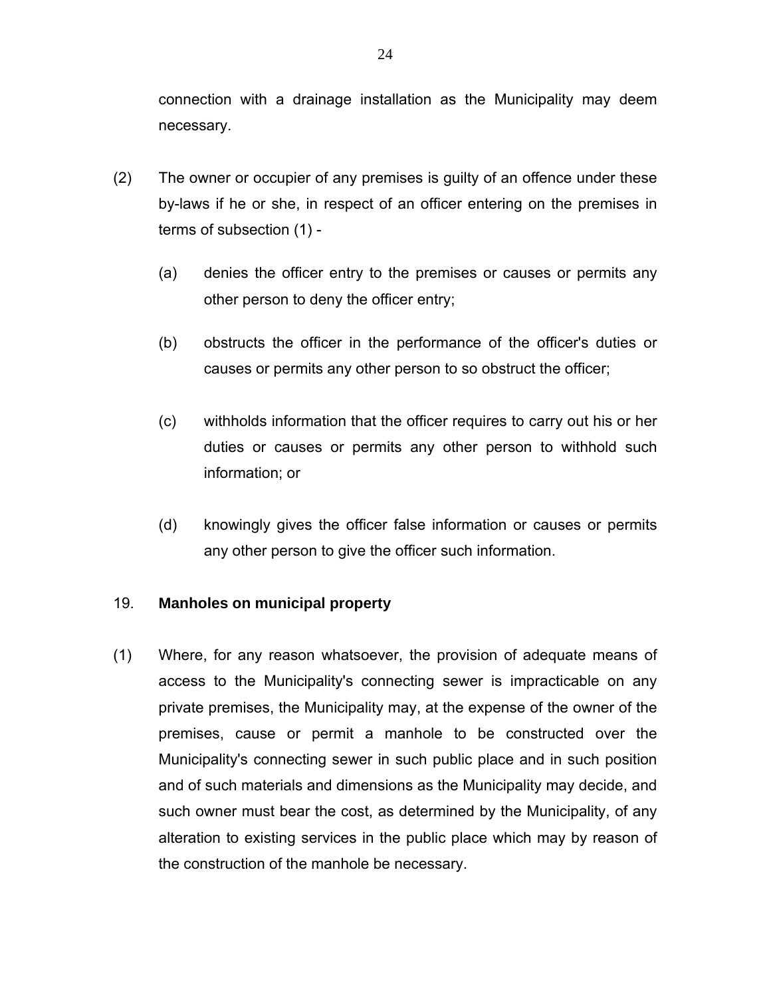connection with a drainage installation as the Municipality may deem necessary.

- (2) The owner or occupier of any premises is guilty of an offence under these by-laws if he or she, in respect of an officer entering on the premises in terms of subsection (1) -
	- (a) denies the officer entry to the premises or causes or permits any other person to deny the officer entry;
	- (b) obstructs the officer in the performance of the officer's duties or causes or permits any other person to so obstruct the officer;
	- (c) withholds information that the officer requires to carry out his or her duties or causes or permits any other person to withhold such information; or
	- (d) knowingly gives the officer false information or causes or permits any other person to give the officer such information.

#### 19. **Manholes on municipal property**

(1) Where, for any reason whatsoever, the provision of adequate means of access to the Municipality's connecting sewer is impracticable on any private premises, the Municipality may, at the expense of the owner of the premises, cause or permit a manhole to be constructed over the Municipality's connecting sewer in such public place and in such position and of such materials and dimensions as the Municipality may decide, and such owner must bear the cost, as determined by the Municipality, of any alteration to existing services in the public place which may by reason of the construction of the manhole be necessary.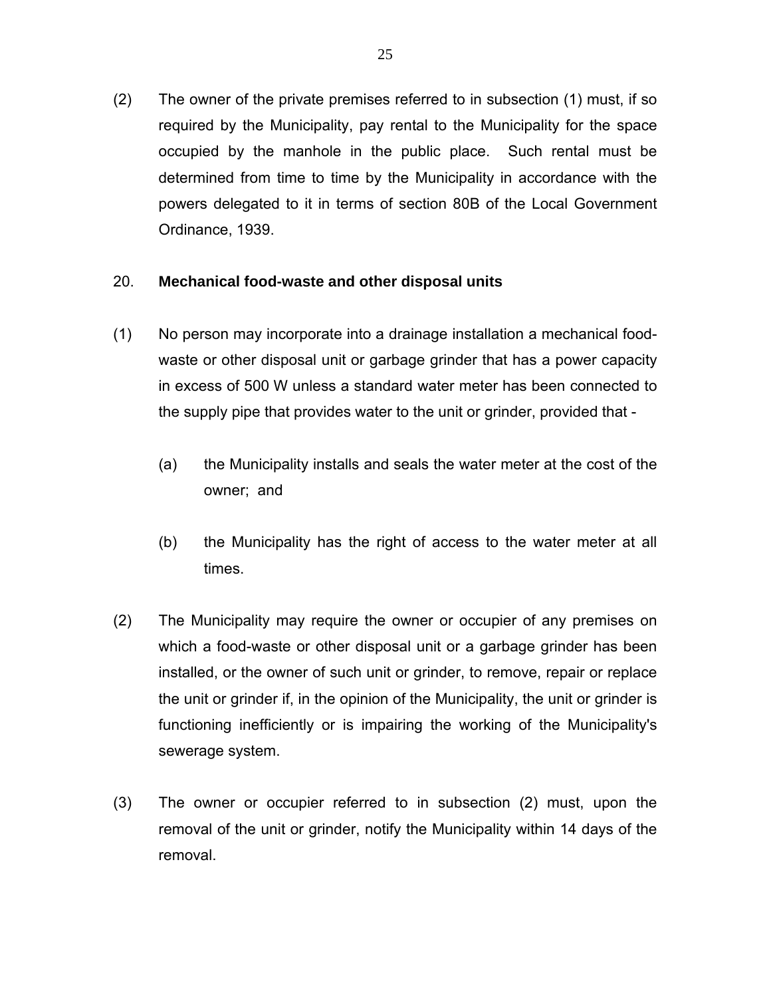(2) The owner of the private premises referred to in subsection (1) must, if so required by the Municipality, pay rental to the Municipality for the space occupied by the manhole in the public place. Such rental must be determined from time to time by the Municipality in accordance with the powers delegated to it in terms of section 80B of the Local Government Ordinance, 1939.

#### 20. **Mechanical food-waste and other disposal units**

- (1) No person may incorporate into a drainage installation a mechanical foodwaste or other disposal unit or garbage grinder that has a power capacity in excess of 500 W unless a standard water meter has been connected to the supply pipe that provides water to the unit or grinder, provided that -
	- (a) the Municipality installs and seals the water meter at the cost of the owner; and
	- (b) the Municipality has the right of access to the water meter at all times.
- (2) The Municipality may require the owner or occupier of any premises on which a food-waste or other disposal unit or a garbage grinder has been installed, or the owner of such unit or grinder, to remove, repair or replace the unit or grinder if, in the opinion of the Municipality, the unit or grinder is functioning inefficiently or is impairing the working of the Municipality's sewerage system.
- (3) The owner or occupier referred to in subsection (2) must, upon the removal of the unit or grinder, notify the Municipality within 14 days of the removal.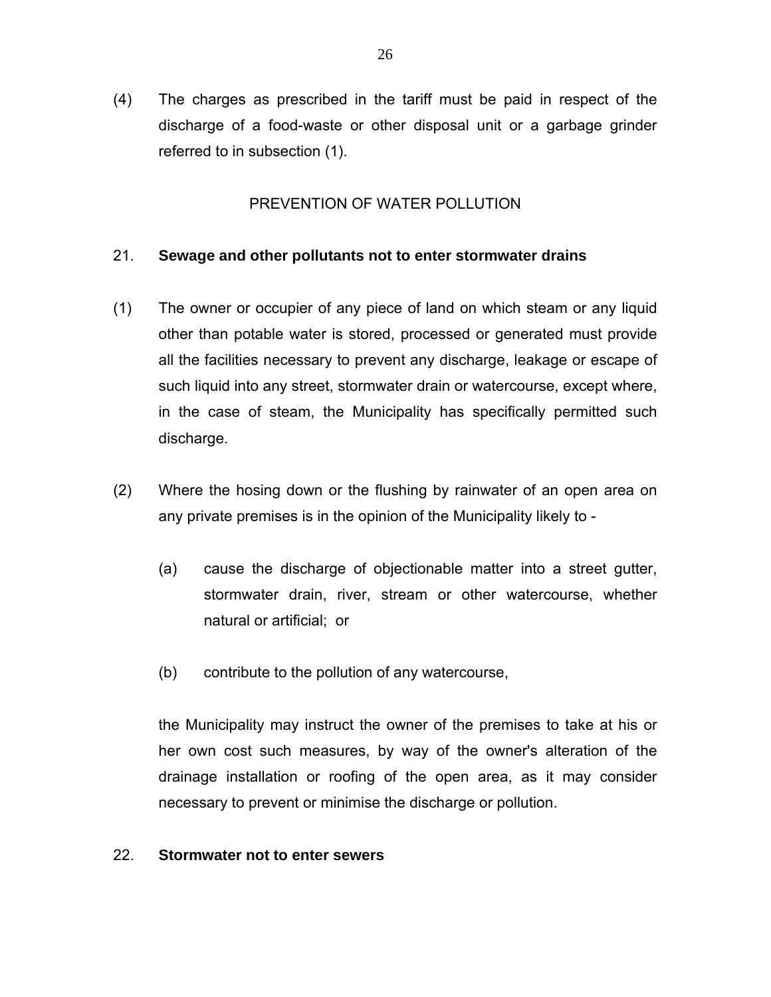(4) The charges as prescribed in the tariff must be paid in respect of the discharge of a food-waste or other disposal unit or a garbage grinder referred to in subsection (1).

#### PREVENTION OF WATER POLLUTION

#### 21. **Sewage and other pollutants not to enter stormwater drains**

- (1) The owner or occupier of any piece of land on which steam or any liquid other than potable water is stored, processed or generated must provide all the facilities necessary to prevent any discharge, leakage or escape of such liquid into any street, stormwater drain or watercourse, except where, in the case of steam, the Municipality has specifically permitted such discharge.
- (2) Where the hosing down or the flushing by rainwater of an open area on any private premises is in the opinion of the Municipality likely to -
	- (a) cause the discharge of objectionable matter into a street gutter, stormwater drain, river, stream or other watercourse, whether natural or artificial; or
	- (b) contribute to the pollution of any watercourse,

the Municipality may instruct the owner of the premises to take at his or her own cost such measures, by way of the owner's alteration of the drainage installation or roofing of the open area, as it may consider necessary to prevent or minimise the discharge or pollution.

#### 22. **Stormwater not to enter sewers**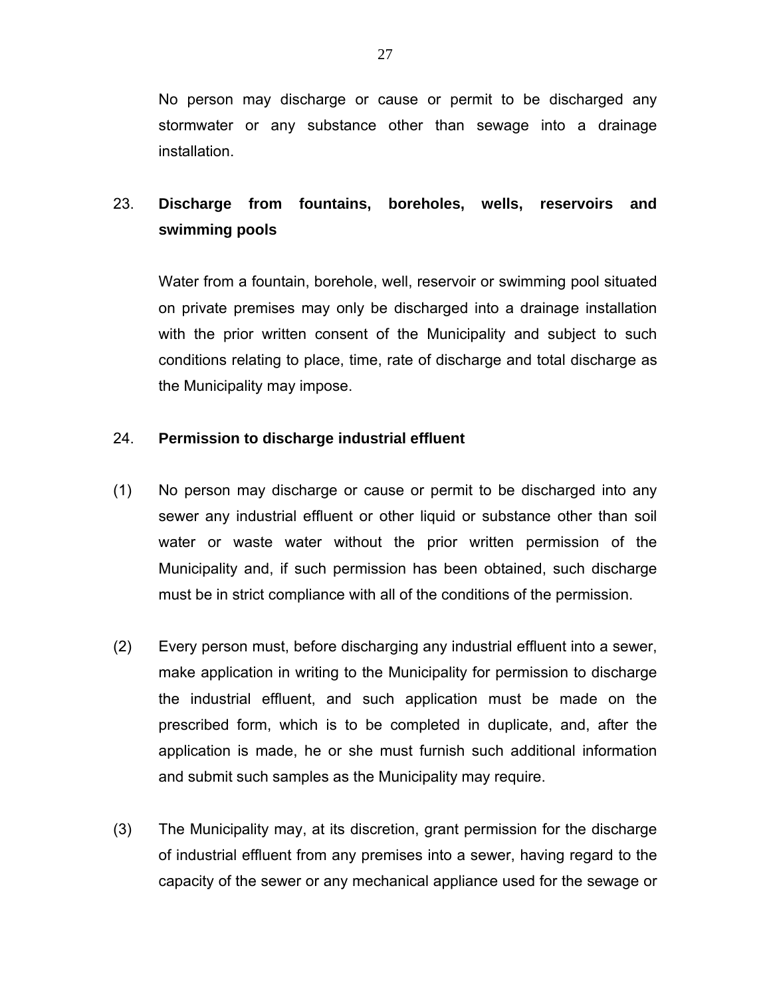No person may discharge or cause or permit to be discharged any stormwater or any substance other than sewage into a drainage installation.

# 23. **Discharge from fountains, boreholes, wells, reservoirs and swimming pools**

Water from a fountain, borehole, well, reservoir or swimming pool situated on private premises may only be discharged into a drainage installation with the prior written consent of the Municipality and subject to such conditions relating to place, time, rate of discharge and total discharge as the Municipality may impose.

#### 24. **Permission to discharge industrial effluent**

- (1) No person may discharge or cause or permit to be discharged into any sewer any industrial effluent or other liquid or substance other than soil water or waste water without the prior written permission of the Municipality and, if such permission has been obtained, such discharge must be in strict compliance with all of the conditions of the permission.
- (2) Every person must, before discharging any industrial effluent into a sewer, make application in writing to the Municipality for permission to discharge the industrial effluent, and such application must be made on the prescribed form, which is to be completed in duplicate, and, after the application is made, he or she must furnish such additional information and submit such samples as the Municipality may require.
- (3) The Municipality may, at its discretion, grant permission for the discharge of industrial effluent from any premises into a sewer, having regard to the capacity of the sewer or any mechanical appliance used for the sewage or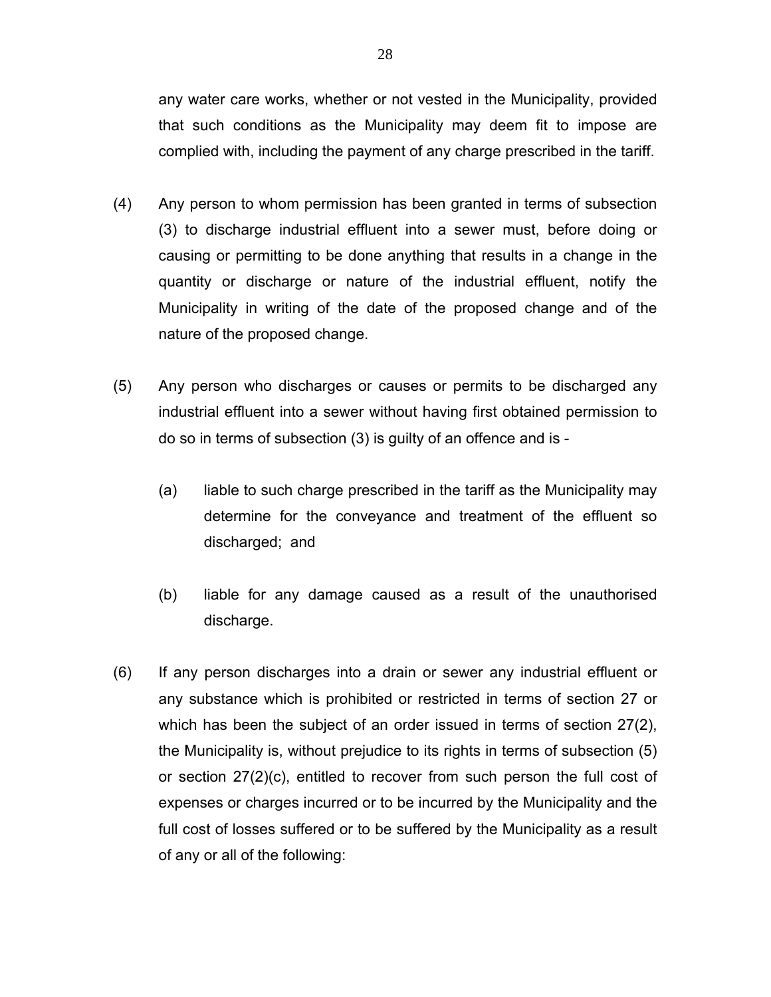any water care works, whether or not vested in the Municipality, provided that such conditions as the Municipality may deem fit to impose are complied with, including the payment of any charge prescribed in the tariff.

- (4) Any person to whom permission has been granted in terms of subsection (3) to discharge industrial effluent into a sewer must, before doing or causing or permitting to be done anything that results in a change in the quantity or discharge or nature of the industrial effluent, notify the Municipality in writing of the date of the proposed change and of the nature of the proposed change.
- (5) Any person who discharges or causes or permits to be discharged any industrial effluent into a sewer without having first obtained permission to do so in terms of subsection (3) is guilty of an offence and is -
	- (a) liable to such charge prescribed in the tariff as the Municipality may determine for the conveyance and treatment of the effluent so discharged; and
	- (b) liable for any damage caused as a result of the unauthorised discharge.
- (6) If any person discharges into a drain or sewer any industrial effluent or any substance which is prohibited or restricted in terms of section 27 or which has been the subject of an order issued in terms of section 27(2), the Municipality is, without prejudice to its rights in terms of subsection (5) or section 27(2)(c), entitled to recover from such person the full cost of expenses or charges incurred or to be incurred by the Municipality and the full cost of losses suffered or to be suffered by the Municipality as a result of any or all of the following: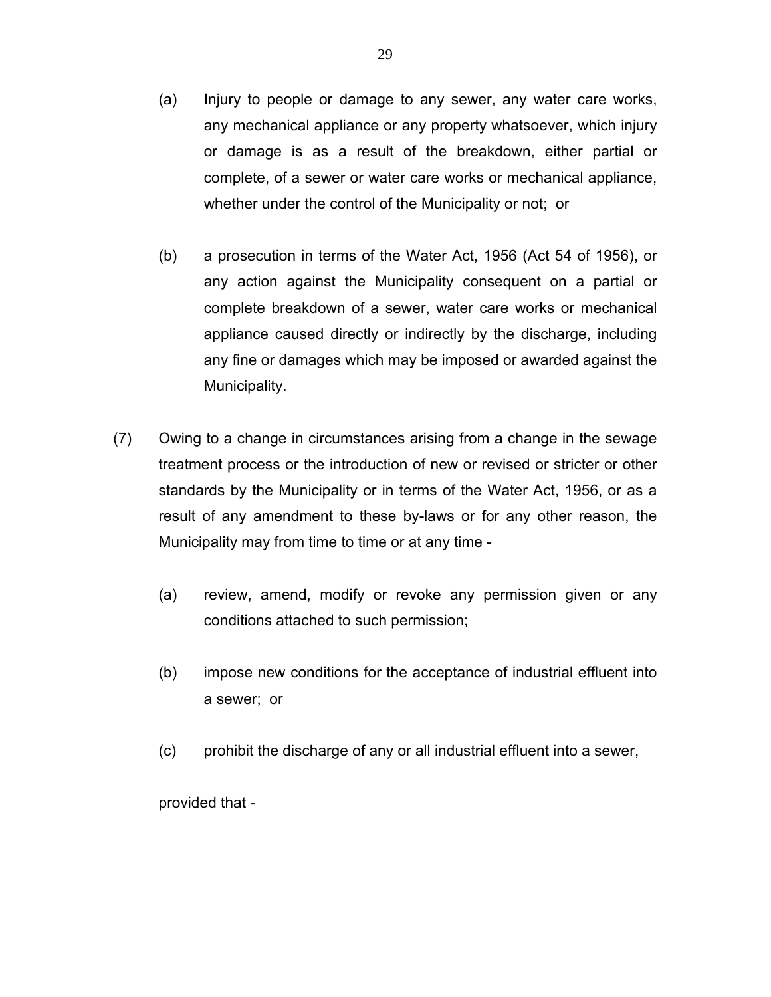- (a) Injury to people or damage to any sewer, any water care works, any mechanical appliance or any property whatsoever, which injury or damage is as a result of the breakdown, either partial or complete, of a sewer or water care works or mechanical appliance, whether under the control of the Municipality or not; or
- (b) a prosecution in terms of the Water Act, 1956 (Act 54 of 1956), or any action against the Municipality consequent on a partial or complete breakdown of a sewer, water care works or mechanical appliance caused directly or indirectly by the discharge, including any fine or damages which may be imposed or awarded against the Municipality.
- (7) Owing to a change in circumstances arising from a change in the sewage treatment process or the introduction of new or revised or stricter or other standards by the Municipality or in terms of the Water Act, 1956, or as a result of any amendment to these by-laws or for any other reason, the Municipality may from time to time or at any time -
	- (a) review, amend, modify or revoke any permission given or any conditions attached to such permission;
	- (b) impose new conditions for the acceptance of industrial effluent into a sewer; or
	- (c) prohibit the discharge of any or all industrial effluent into a sewer,

provided that -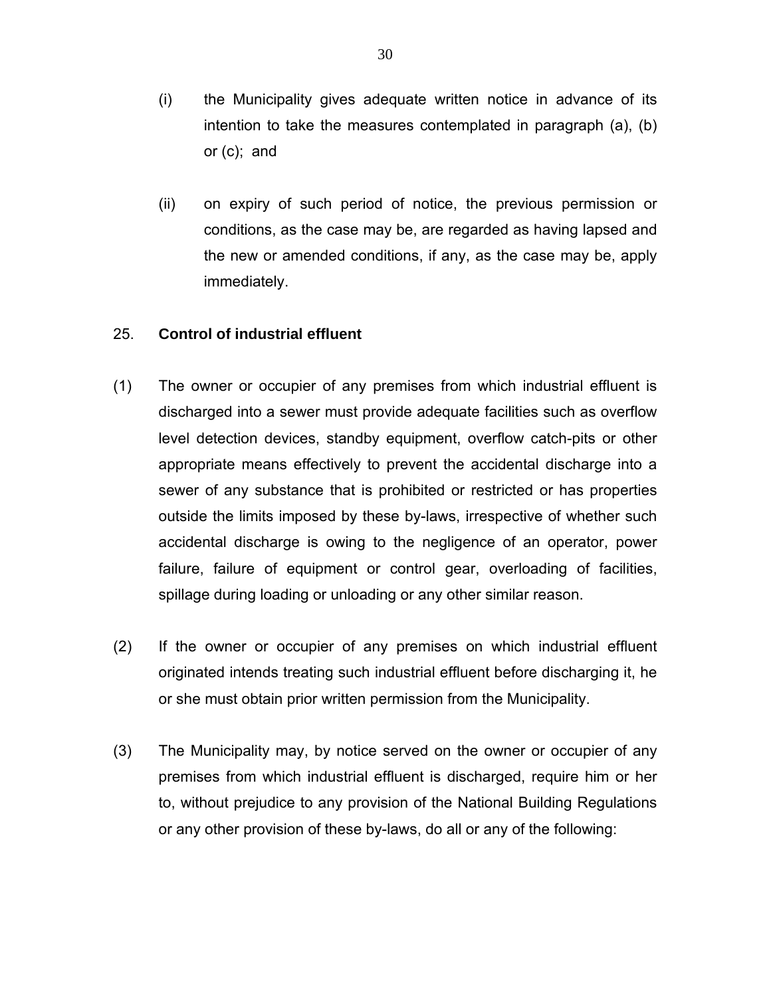- (i) the Municipality gives adequate written notice in advance of its intention to take the measures contemplated in paragraph (a), (b) or (c); and
- (ii) on expiry of such period of notice, the previous permission or conditions, as the case may be, are regarded as having lapsed and the new or amended conditions, if any, as the case may be, apply immediately.

#### 25. **Control of industrial effluent**

- (1) The owner or occupier of any premises from which industrial effluent is discharged into a sewer must provide adequate facilities such as overflow level detection devices, standby equipment, overflow catch-pits or other appropriate means effectively to prevent the accidental discharge into a sewer of any substance that is prohibited or restricted or has properties outside the limits imposed by these by-laws, irrespective of whether such accidental discharge is owing to the negligence of an operator, power failure, failure of equipment or control gear, overloading of facilities, spillage during loading or unloading or any other similar reason.
- (2) If the owner or occupier of any premises on which industrial effluent originated intends treating such industrial effluent before discharging it, he or she must obtain prior written permission from the Municipality.
- (3) The Municipality may, by notice served on the owner or occupier of any premises from which industrial effluent is discharged, require him or her to, without prejudice to any provision of the National Building Regulations or any other provision of these by-laws, do all or any of the following: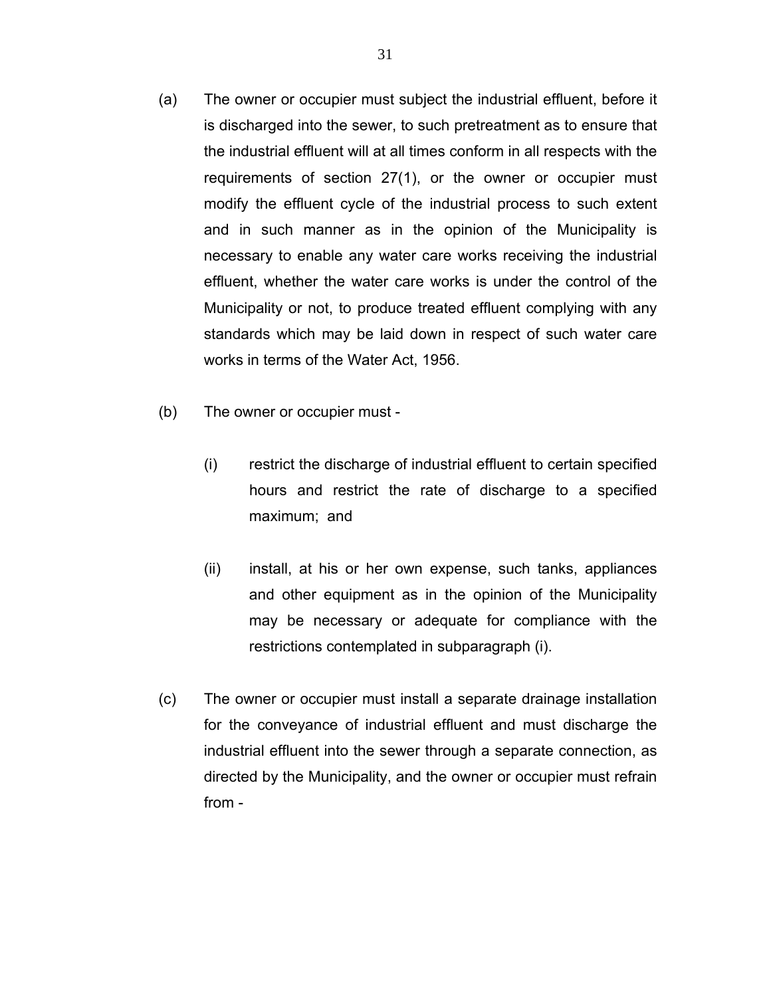- (a) The owner or occupier must subject the industrial effluent, before it is discharged into the sewer, to such pretreatment as to ensure that the industrial effluent will at all times conform in all respects with the requirements of section 27(1), or the owner or occupier must modify the effluent cycle of the industrial process to such extent and in such manner as in the opinion of the Municipality is necessary to enable any water care works receiving the industrial effluent, whether the water care works is under the control of the Municipality or not, to produce treated effluent complying with any standards which may be laid down in respect of such water care works in terms of the Water Act, 1956.
- (b) The owner or occupier must
	- (i) restrict the discharge of industrial effluent to certain specified hours and restrict the rate of discharge to a specified maximum; and
	- (ii) install, at his or her own expense, such tanks, appliances and other equipment as in the opinion of the Municipality may be necessary or adequate for compliance with the restrictions contemplated in subparagraph (i).
- (c) The owner or occupier must install a separate drainage installation for the conveyance of industrial effluent and must discharge the industrial effluent into the sewer through a separate connection, as directed by the Municipality, and the owner or occupier must refrain from -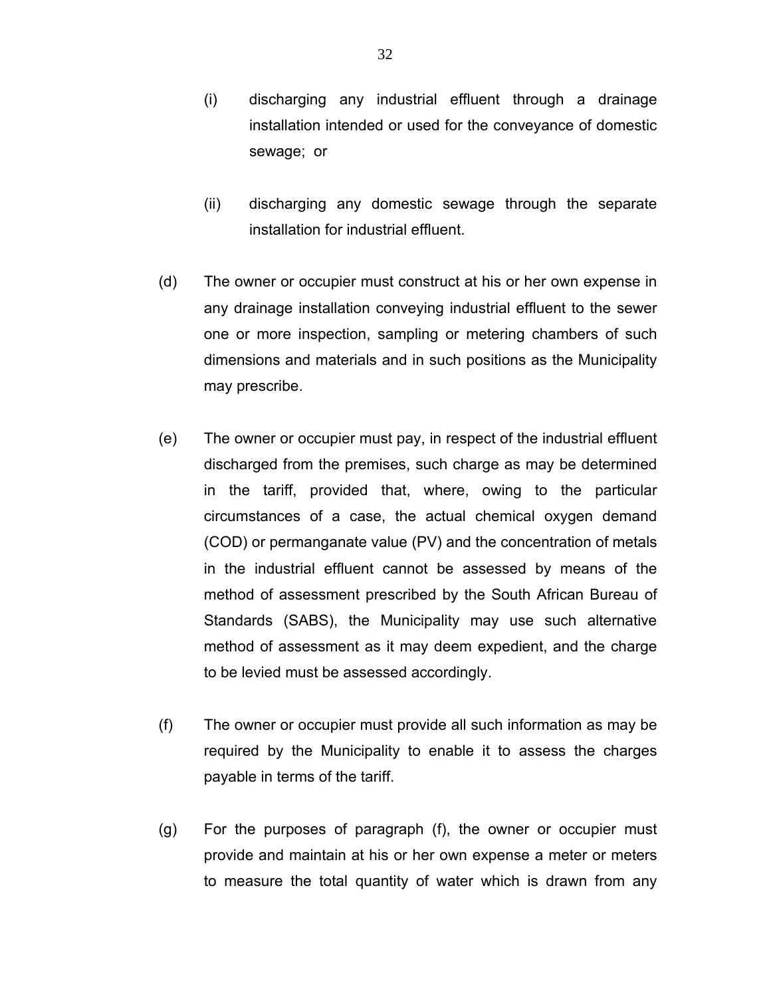- (i) discharging any industrial effluent through a drainage installation intended or used for the conveyance of domestic sewage; or
- (ii) discharging any domestic sewage through the separate installation for industrial effluent.
- (d) The owner or occupier must construct at his or her own expense in any drainage installation conveying industrial effluent to the sewer one or more inspection, sampling or metering chambers of such dimensions and materials and in such positions as the Municipality may prescribe.
- (e) The owner or occupier must pay, in respect of the industrial effluent discharged from the premises, such charge as may be determined in the tariff, provided that, where, owing to the particular circumstances of a case, the actual chemical oxygen demand (COD) or permanganate value (PV) and the concentration of metals in the industrial effluent cannot be assessed by means of the method of assessment prescribed by the South African Bureau of Standards (SABS), the Municipality may use such alternative method of assessment as it may deem expedient, and the charge to be levied must be assessed accordingly.
- (f) The owner or occupier must provide all such information as may be required by the Municipality to enable it to assess the charges payable in terms of the tariff.
- (g) For the purposes of paragraph (f), the owner or occupier must provide and maintain at his or her own expense a meter or meters to measure the total quantity of water which is drawn from any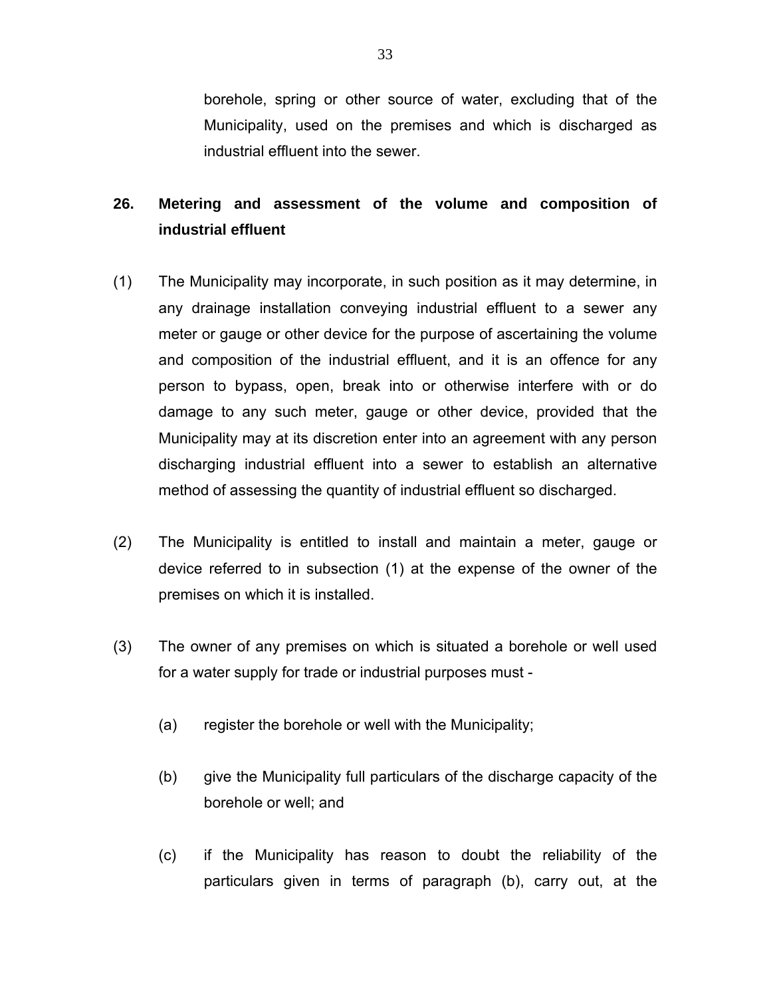borehole, spring or other source of water, excluding that of the Municipality, used on the premises and which is discharged as industrial effluent into the sewer.

# **26. Metering and assessment of the volume and composition of industrial effluent**

- (1) The Municipality may incorporate, in such position as it may determine, in any drainage installation conveying industrial effluent to a sewer any meter or gauge or other device for the purpose of ascertaining the volume and composition of the industrial effluent, and it is an offence for any person to bypass, open, break into or otherwise interfere with or do damage to any such meter, gauge or other device, provided that the Municipality may at its discretion enter into an agreement with any person discharging industrial effluent into a sewer to establish an alternative method of assessing the quantity of industrial effluent so discharged.
- (2) The Municipality is entitled to install and maintain a meter, gauge or device referred to in subsection (1) at the expense of the owner of the premises on which it is installed.
- (3) The owner of any premises on which is situated a borehole or well used for a water supply for trade or industrial purposes must -
	- (a) register the borehole or well with the Municipality;
	- (b) give the Municipality full particulars of the discharge capacity of the borehole or well; and
	- (c) if the Municipality has reason to doubt the reliability of the particulars given in terms of paragraph (b), carry out, at the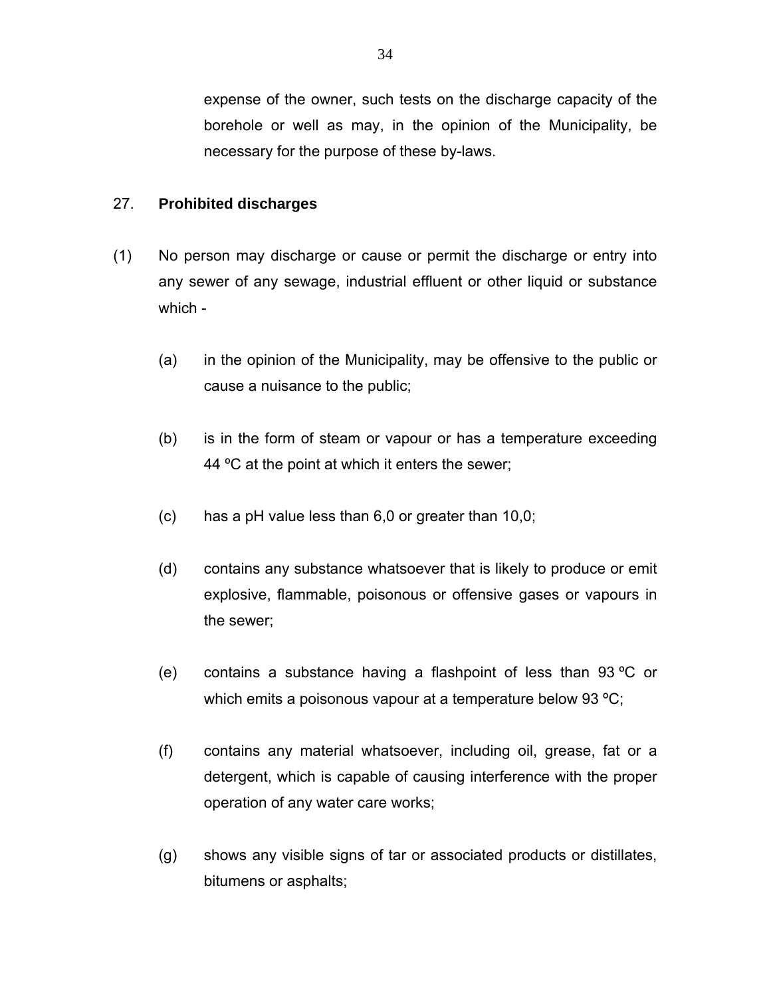expense of the owner, such tests on the discharge capacity of the borehole or well as may, in the opinion of the Municipality, be necessary for the purpose of these by-laws.

## 27. **Prohibited discharges**

- (1) No person may discharge or cause or permit the discharge or entry into any sewer of any sewage, industrial effluent or other liquid or substance which -
	- (a) in the opinion of the Municipality, may be offensive to the public or cause a nuisance to the public;
	- (b) is in the form of steam or vapour or has a temperature exceeding 44 °C at the point at which it enters the sewer;
	- (c) has a pH value less than 6,0 or greater than 10,0;
	- (d) contains any substance whatsoever that is likely to produce or emit explosive, flammable, poisonous or offensive gases or vapours in the sewer;
	- (e) contains a substance having a flashpoint of less than 93 ºC or which emits a poisonous vapour at a temperature below 93 °C;
	- (f) contains any material whatsoever, including oil, grease, fat or a detergent, which is capable of causing interference with the proper operation of any water care works;
	- (g) shows any visible signs of tar or associated products or distillates, bitumens or asphalts;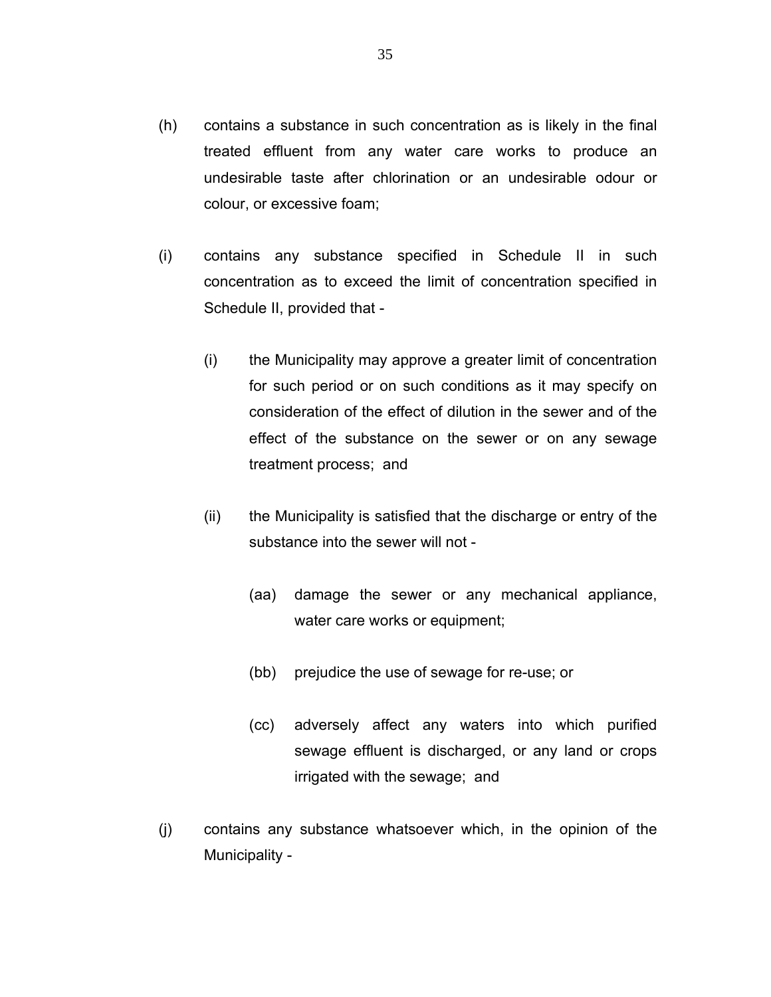- (h) contains a substance in such concentration as is likely in the final treated effluent from any water care works to produce an undesirable taste after chlorination or an undesirable odour or colour, or excessive foam;
- (i) contains any substance specified in Schedule II in such concentration as to exceed the limit of concentration specified in Schedule II, provided that -
	- (i) the Municipality may approve a greater limit of concentration for such period or on such conditions as it may specify on consideration of the effect of dilution in the sewer and of the effect of the substance on the sewer or on any sewage treatment process; and
	- (ii) the Municipality is satisfied that the discharge or entry of the substance into the sewer will not -
		- (aa) damage the sewer or any mechanical appliance, water care works or equipment;
		- (bb) prejudice the use of sewage for re-use; or
		- (cc) adversely affect any waters into which purified sewage effluent is discharged, or any land or crops irrigated with the sewage; and
- (j) contains any substance whatsoever which, in the opinion of the Municipality -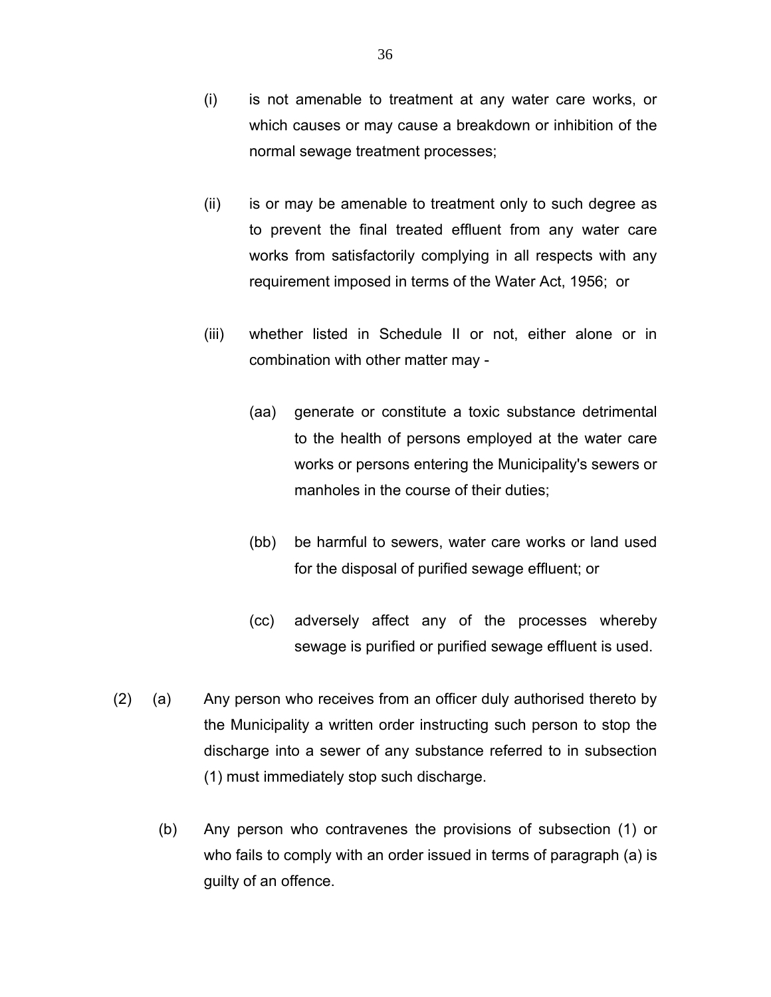- (i) is not amenable to treatment at any water care works, or which causes or may cause a breakdown or inhibition of the normal sewage treatment processes;
- (ii) is or may be amenable to treatment only to such degree as to prevent the final treated effluent from any water care works from satisfactorily complying in all respects with any requirement imposed in terms of the Water Act, 1956; or
- (iii) whether listed in Schedule II or not, either alone or in combination with other matter may -
	- (aa) generate or constitute a toxic substance detrimental to the health of persons employed at the water care works or persons entering the Municipality's sewers or manholes in the course of their duties;
	- (bb) be harmful to sewers, water care works or land used for the disposal of purified sewage effluent; or
	- (cc) adversely affect any of the processes whereby sewage is purified or purified sewage effluent is used.
- (2) (a) Any person who receives from an officer duly authorised thereto by the Municipality a written order instructing such person to stop the discharge into a sewer of any substance referred to in subsection (1) must immediately stop such discharge.
	- (b) Any person who contravenes the provisions of subsection (1) or who fails to comply with an order issued in terms of paragraph (a) is guilty of an offence.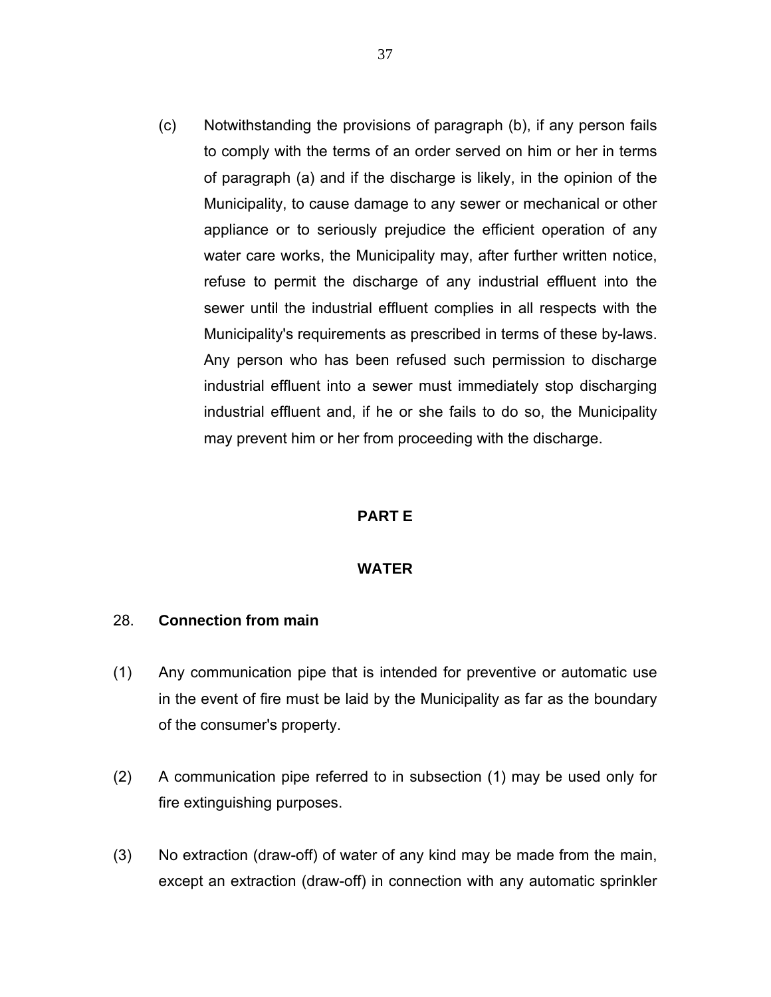(c) Notwithstanding the provisions of paragraph (b), if any person fails to comply with the terms of an order served on him or her in terms of paragraph (a) and if the discharge is likely, in the opinion of the Municipality, to cause damage to any sewer or mechanical or other appliance or to seriously prejudice the efficient operation of any water care works, the Municipality may, after further written notice, refuse to permit the discharge of any industrial effluent into the sewer until the industrial effluent complies in all respects with the Municipality's requirements as prescribed in terms of these by-laws. Any person who has been refused such permission to discharge industrial effluent into a sewer must immediately stop discharging industrial effluent and, if he or she fails to do so, the Municipality may prevent him or her from proceeding with the discharge.

#### **PART E**

#### **WATER**

#### 28. **Connection from main**

- (1) Any communication pipe that is intended for preventive or automatic use in the event of fire must be laid by the Municipality as far as the boundary of the consumer's property.
- (2) A communication pipe referred to in subsection (1) may be used only for fire extinguishing purposes.
- (3) No extraction (draw-off) of water of any kind may be made from the main, except an extraction (draw-off) in connection with any automatic sprinkler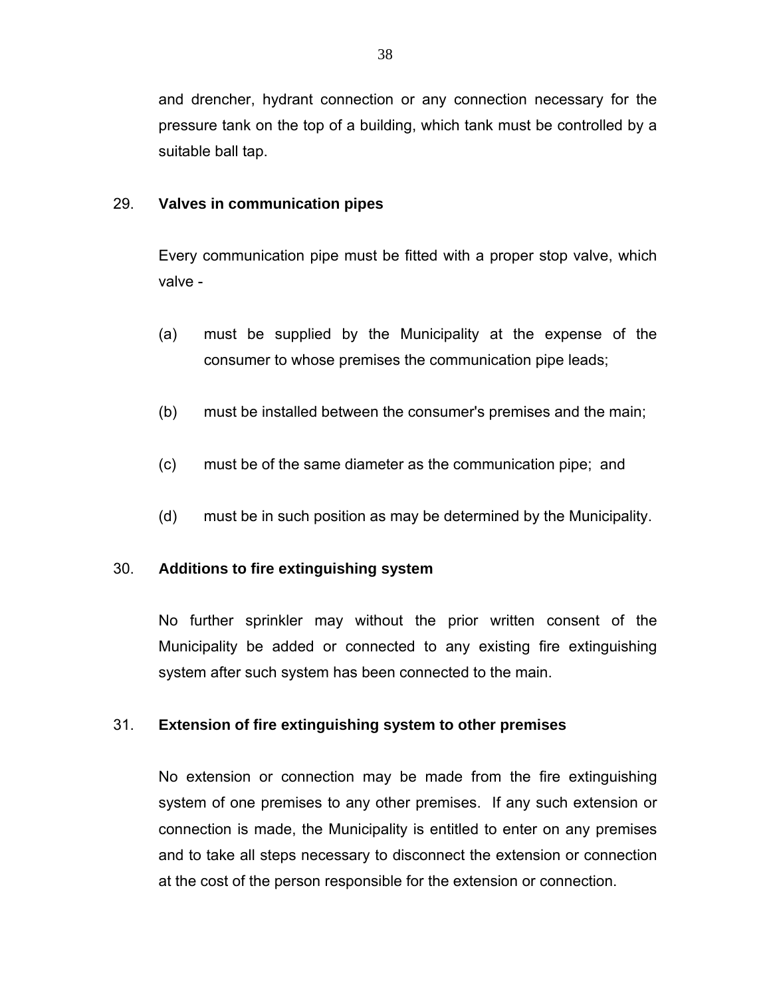and drencher, hydrant connection or any connection necessary for the pressure tank on the top of a building, which tank must be controlled by a suitable ball tap.

### 29. **Valves in communication pipes**

Every communication pipe must be fitted with a proper stop valve, which valve -

- (a) must be supplied by the Municipality at the expense of the consumer to whose premises the communication pipe leads;
- (b) must be installed between the consumer's premises and the main;
- (c) must be of the same diameter as the communication pipe; and
- (d) must be in such position as may be determined by the Municipality.

# 30. **Additions to fire extinguishing system**

 No further sprinkler may without the prior written consent of the Municipality be added or connected to any existing fire extinguishing system after such system has been connected to the main.

# 31. **Extension of fire extinguishing system to other premises**

No extension or connection may be made from the fire extinguishing system of one premises to any other premises. If any such extension or connection is made, the Municipality is entitled to enter on any premises and to take all steps necessary to disconnect the extension or connection at the cost of the person responsible for the extension or connection.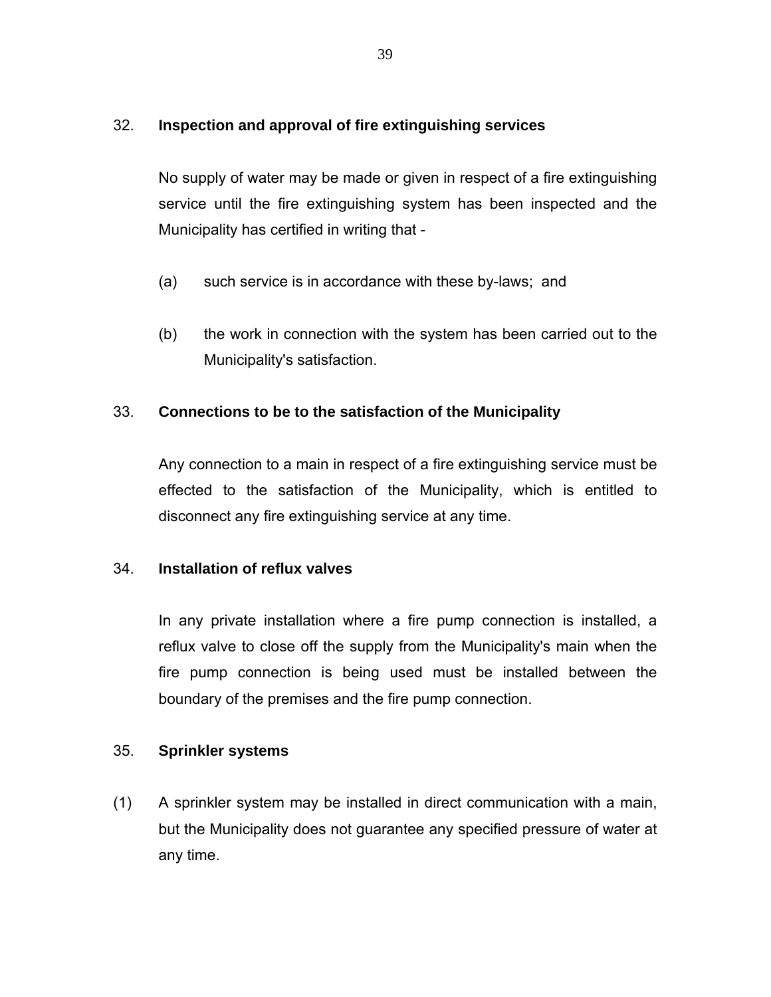## 32. **Inspection and approval of fire extinguishing services**

No supply of water may be made or given in respect of a fire extinguishing service until the fire extinguishing system has been inspected and the Municipality has certified in writing that -

- (a) such service is in accordance with these by-laws; and
- (b) the work in connection with the system has been carried out to the Municipality's satisfaction.

# 33. **Connections to be to the satisfaction of the Municipality**

 Any connection to a main in respect of a fire extinguishing service must be effected to the satisfaction of the Municipality, which is entitled to disconnect any fire extinguishing service at any time.

#### 34. **Installation of reflux valves**

 In any private installation where a fire pump connection is installed, a reflux valve to close off the supply from the Municipality's main when the fire pump connection is being used must be installed between the boundary of the premises and the fire pump connection.

#### 35. **Sprinkler systems**

(1) A sprinkler system may be installed in direct communication with a main, but the Municipality does not guarantee any specified pressure of water at any time.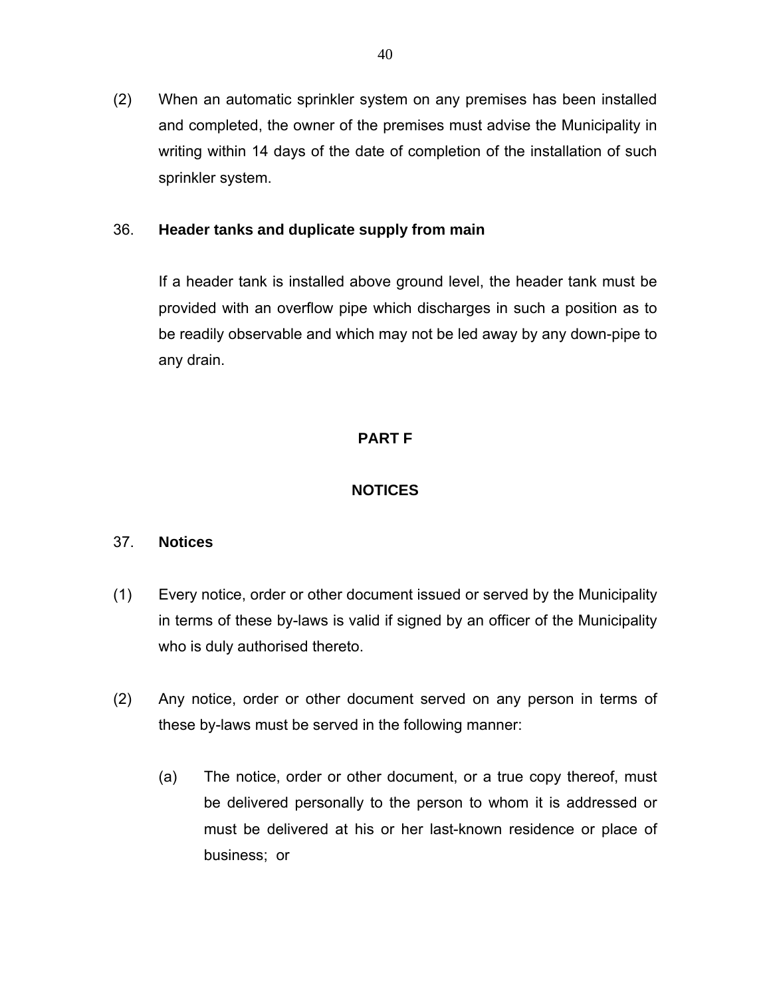(2) When an automatic sprinkler system on any premises has been installed and completed, the owner of the premises must advise the Municipality in writing within 14 days of the date of completion of the installation of such sprinkler system.

### 36. **Header tanks and duplicate supply from main**

 If a header tank is installed above ground level, the header tank must be provided with an overflow pipe which discharges in such a position as to be readily observable and which may not be led away by any down-pipe to any drain.

# **PART F**

# **NOTICES**

#### 37. **Notices**

- (1) Every notice, order or other document issued or served by the Municipality in terms of these by-laws is valid if signed by an officer of the Municipality who is duly authorised thereto.
- (2) Any notice, order or other document served on any person in terms of these by-laws must be served in the following manner:
	- (a) The notice, order or other document, or a true copy thereof, must be delivered personally to the person to whom it is addressed or must be delivered at his or her last-known residence or place of business; or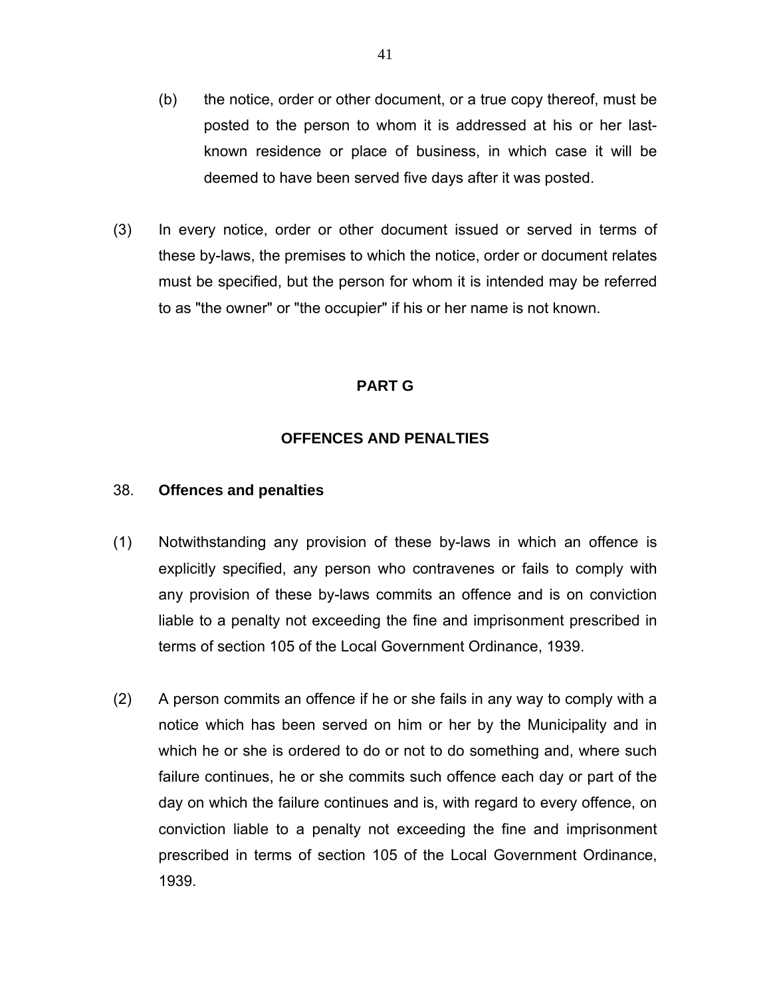- (b) the notice, order or other document, or a true copy thereof, must be posted to the person to whom it is addressed at his or her lastknown residence or place of business, in which case it will be deemed to have been served five days after it was posted.
- (3) In every notice, order or other document issued or served in terms of these by-laws, the premises to which the notice, order or document relates must be specified, but the person for whom it is intended may be referred to as "the owner" or "the occupier" if his or her name is not known.

## **PART G**

# **OFFENCES AND PENALTIES**

#### 38. **Offences and penalties**

- (1) Notwithstanding any provision of these by-laws in which an offence is explicitly specified, any person who contravenes or fails to comply with any provision of these by-laws commits an offence and is on conviction liable to a penalty not exceeding the fine and imprisonment prescribed in terms of section 105 of the Local Government Ordinance, 1939.
- (2) A person commits an offence if he or she fails in any way to comply with a notice which has been served on him or her by the Municipality and in which he or she is ordered to do or not to do something and, where such failure continues, he or she commits such offence each day or part of the day on which the failure continues and is, with regard to every offence, on conviction liable to a penalty not exceeding the fine and imprisonment prescribed in terms of section 105 of the Local Government Ordinance, 1939.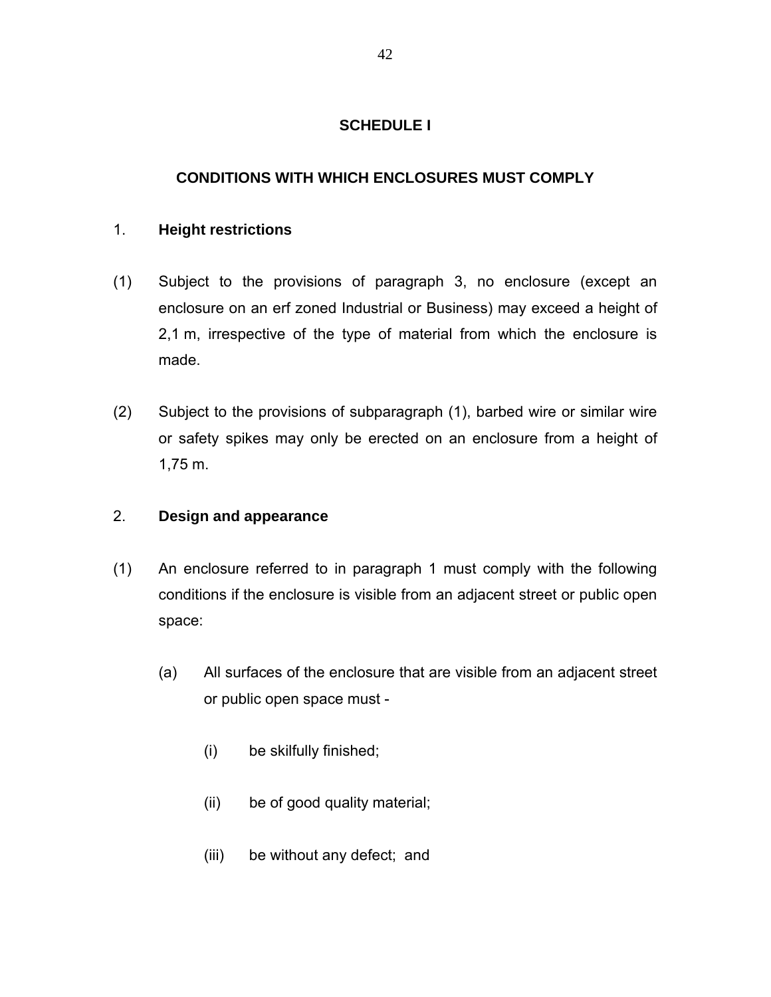## **SCHEDULE I**

## **CONDITIONS WITH WHICH ENCLOSURES MUST COMPLY**

#### 1. **Height restrictions**

- (1) Subject to the provisions of paragraph 3, no enclosure (except an enclosure on an erf zoned Industrial or Business) may exceed a height of 2,1 m, irrespective of the type of material from which the enclosure is made.
- (2) Subject to the provisions of subparagraph (1), barbed wire or similar wire or safety spikes may only be erected on an enclosure from a height of 1,75 m.

### 2. **Design and appearance**

- (1) An enclosure referred to in paragraph 1 must comply with the following conditions if the enclosure is visible from an adjacent street or public open space:
	- (a) All surfaces of the enclosure that are visible from an adjacent street or public open space must -
		- (i) be skilfully finished;
		- (ii) be of good quality material;
		- (iii) be without any defect; and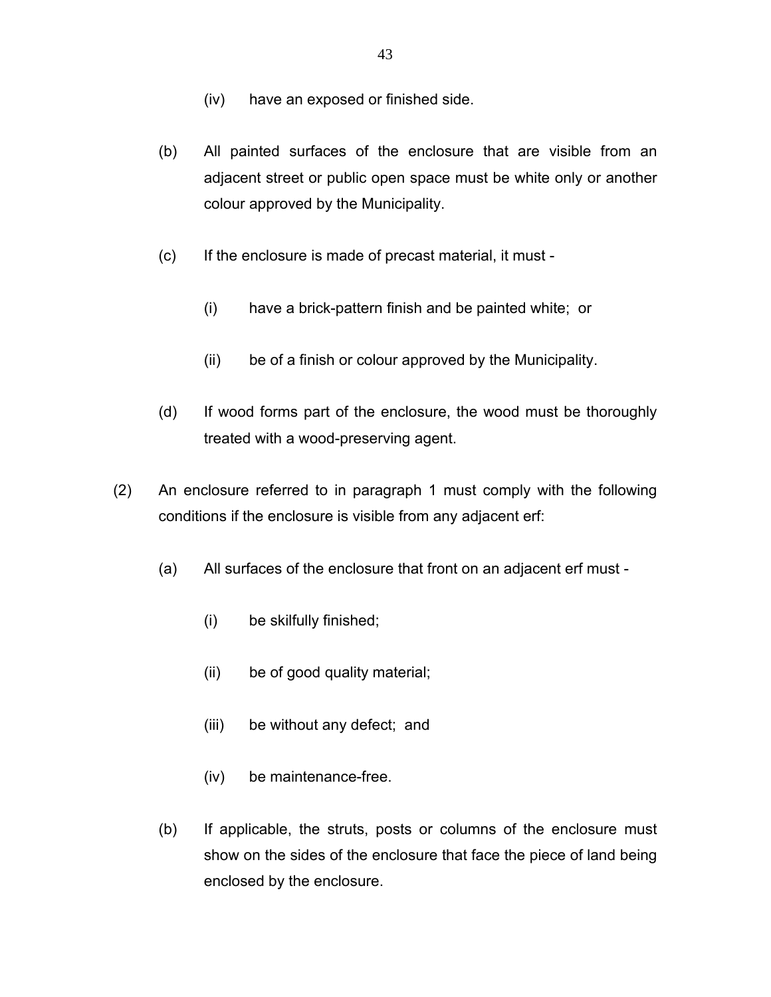- (iv) have an exposed or finished side.
- (b) All painted surfaces of the enclosure that are visible from an adjacent street or public open space must be white only or another colour approved by the Municipality.
- (c) If the enclosure is made of precast material, it must
	- (i) have a brick-pattern finish and be painted white; or
	- (ii) be of a finish or colour approved by the Municipality.
- (d) If wood forms part of the enclosure, the wood must be thoroughly treated with a wood-preserving agent.
- (2) An enclosure referred to in paragraph 1 must comply with the following conditions if the enclosure is visible from any adjacent erf:
	- (a) All surfaces of the enclosure that front on an adjacent erf must
		- (i) be skilfully finished;
		- (ii) be of good quality material;
		- (iii) be without any defect; and
		- (iv) be maintenance-free.
	- (b) If applicable, the struts, posts or columns of the enclosure must show on the sides of the enclosure that face the piece of land being enclosed by the enclosure.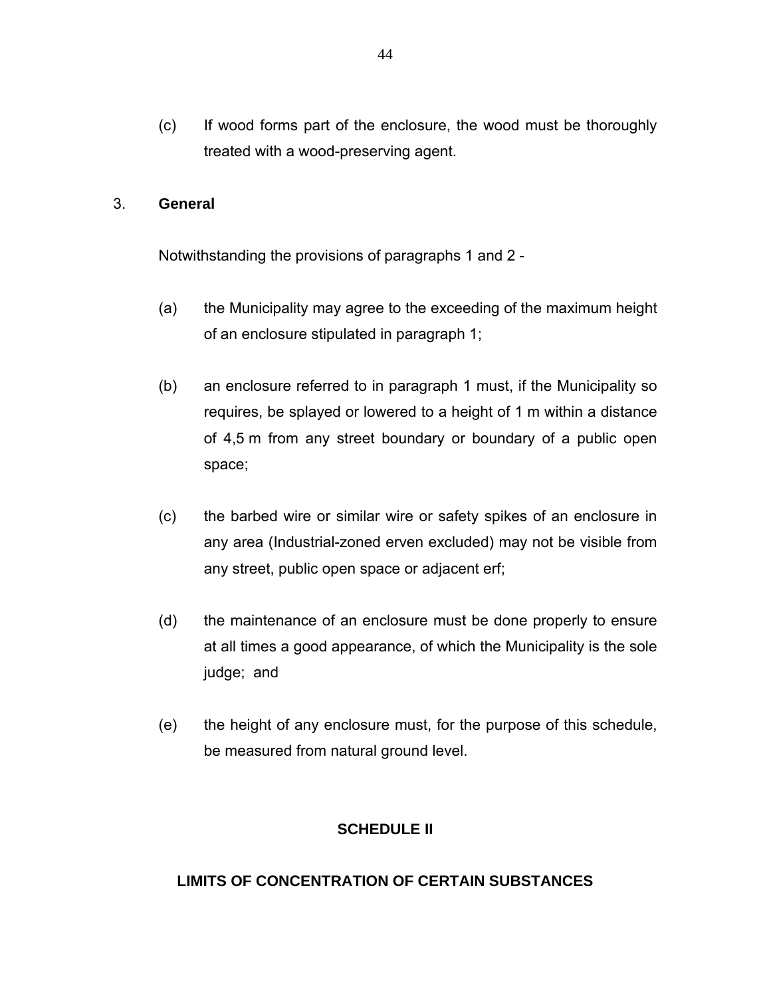(c) If wood forms part of the enclosure, the wood must be thoroughly treated with a wood-preserving agent.

#### 3. **General**

Notwithstanding the provisions of paragraphs 1 and 2 -

- (a) the Municipality may agree to the exceeding of the maximum height of an enclosure stipulated in paragraph 1;
- (b) an enclosure referred to in paragraph 1 must, if the Municipality so requires, be splayed or lowered to a height of 1 m within a distance of 4,5 m from any street boundary or boundary of a public open space;
- (c) the barbed wire or similar wire or safety spikes of an enclosure in any area (Industrial-zoned erven excluded) may not be visible from any street, public open space or adjacent erf;
- (d) the maintenance of an enclosure must be done properly to ensure at all times a good appearance, of which the Municipality is the sole judge; and
- (e) the height of any enclosure must, for the purpose of this schedule, be measured from natural ground level.

#### **SCHEDULE II**

## **LIMITS OF CONCENTRATION OF CERTAIN SUBSTANCES**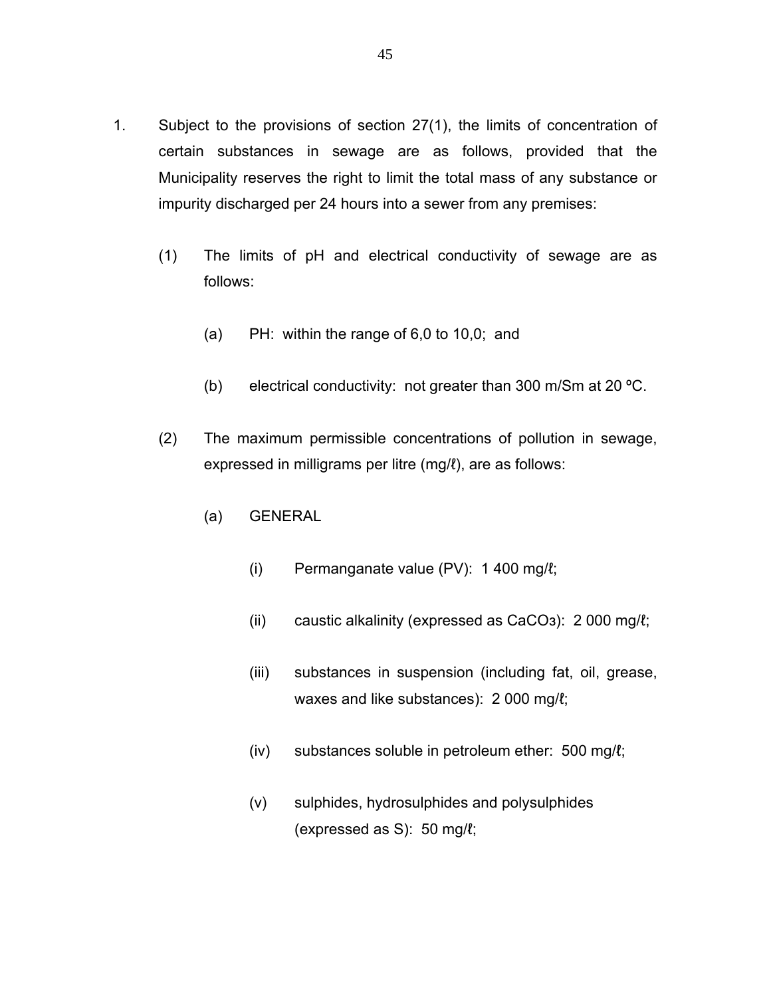- 1. Subject to the provisions of section 27(1), the limits of concentration of certain substances in sewage are as follows, provided that the Municipality reserves the right to limit the total mass of any substance or impurity discharged per 24 hours into a sewer from any premises:
	- (1) The limits of pH and electrical conductivity of sewage are as follows:
		- (a) PH: within the range of 6,0 to 10,0; and
		- (b) electrical conductivity: not greater than 300 m/Sm at 20 ºC.
	- (2) The maximum permissible concentrations of pollution in sewage, expressed in milligrams per litre (mg/ℓ), are as follows:
		- (a) GENERAL
			- (i) Permanganate value (PV): 1 400 mg/ℓ;
			- (ii) caustic alkalinity (expressed as CaCOз): 2 000 mg/ℓ;
			- (iii) substances in suspension (including fat, oil, grease, waxes and like substances): 2 000 mg/ℓ;
			- (iv) substances soluble in petroleum ether: 500 mg/ℓ;
			- (v) sulphides, hydrosulphides and polysulphides (expressed as S): 50 mg/ℓ;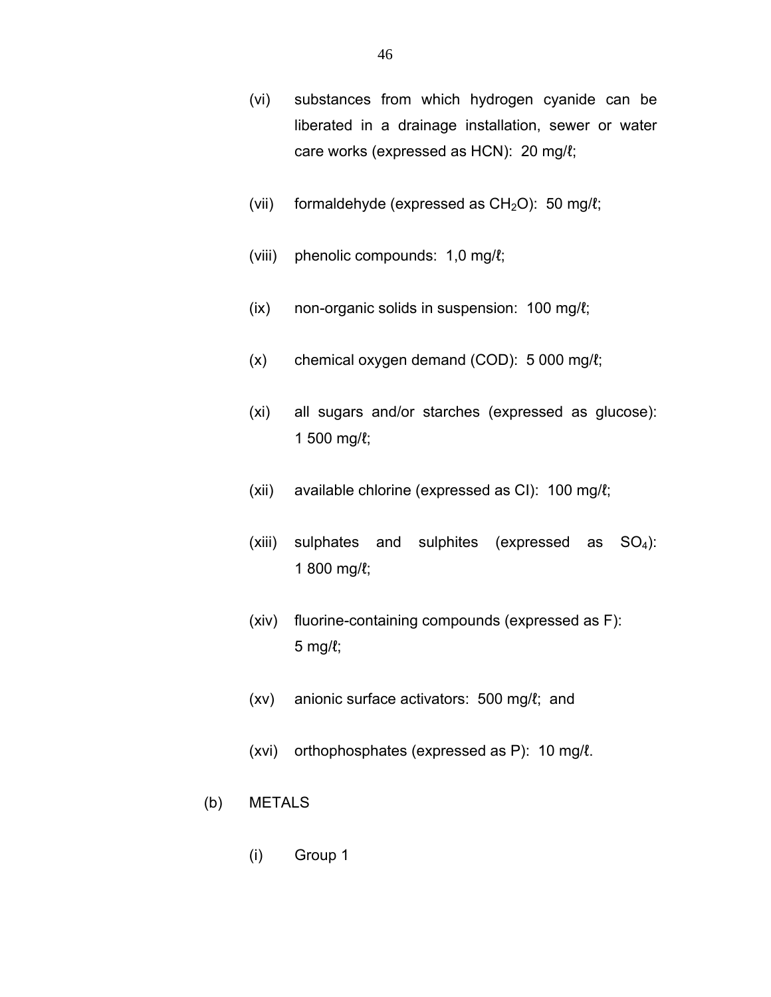- (vi) substances from which hydrogen cyanide can be liberated in a drainage installation, sewer or water care works (expressed as HCN): 20 mg/ℓ;
- (vii) formaldehyde (expressed as  $CH<sub>2</sub>O$ ): 50 mg/ $\ell$ ;
- (viii) phenolic compounds: 1,0 mg/ℓ;
- (ix) non-organic solids in suspension: 100 mg/ℓ;
- (x) chemical oxygen demand (COD): 5 000 mg/ℓ;
- (xi) all sugars and/or starches (expressed as glucose): 1 500 mg/ℓ;
- (xii) available chlorine (expressed as CI): 100 mg/ℓ;
- (xiii) sulphates and sulphites (expressed as  $SO_4$ ): 1 800 mg/ℓ;
- (xiv) fluorine-containing compounds (expressed as F): 5 mg/ℓ;
- (xv) anionic surface activators: 500 mg/ℓ; and
- (xvi) orthophosphates (expressed as P): 10 mg/ℓ.
- (b) METALS
	- (i) Group 1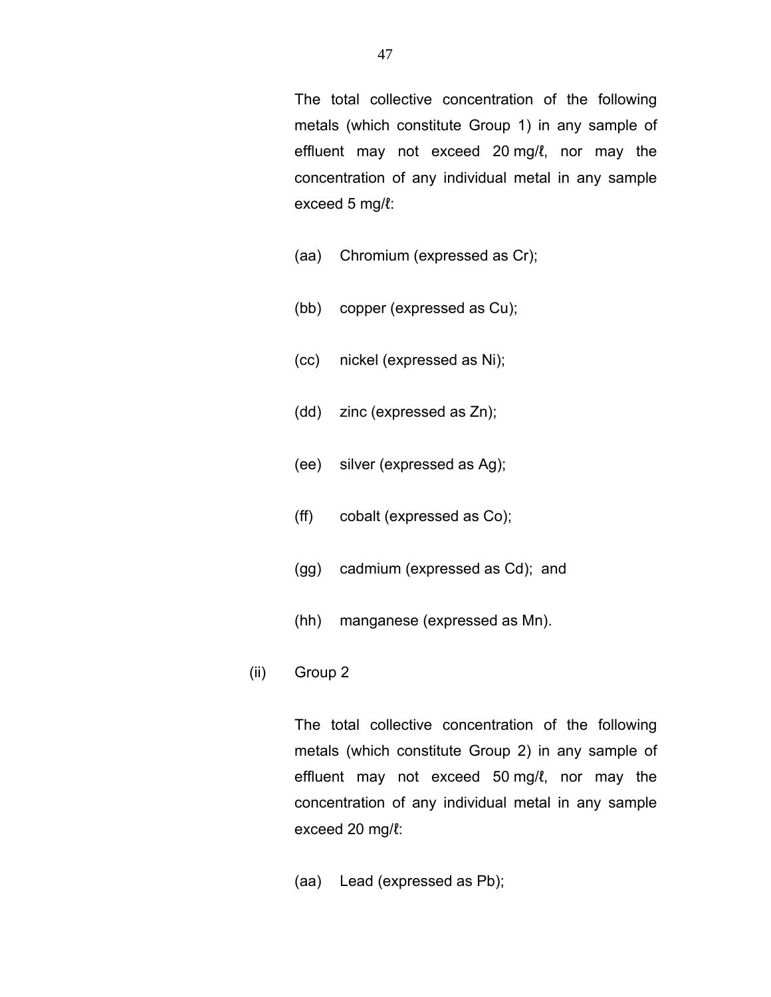The total collective concentration of the following metals (which constitute Group 1) in any sample of effluent may not exceed 20 mg/l, nor may the concentration of any individual metal in any sample exceed 5 mg/l:

- (aa) Chromium (expressed as Cr);
- (bb) copper (expressed as Cu);
- (cc) nickel (expressed as Ni);
- (dd) zinc (expressed as Zn);
- (ee) silver (expressed as Ag);
- (ff) cobalt (expressed as Co);
- (gg) cadmium (expressed as Cd); and
- (hh) manganese (expressed as Mn).
- (ii) Group 2

The total collective concentration of the following metals (which constitute Group 2) in any sample of effluent may not exceed 50 mg/l, nor may the concentration of any individual metal in any sample exceed 20 mg/ $\ell$ :

(aa) Lead (expressed as Pb);